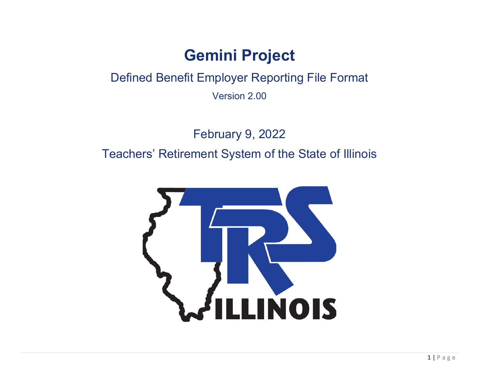# **Gemini Project**

Defined Benefit Employer Reporting File Format

Version 2.00

February 9, 2022 Teachers' Retirement System of the State of Illinois

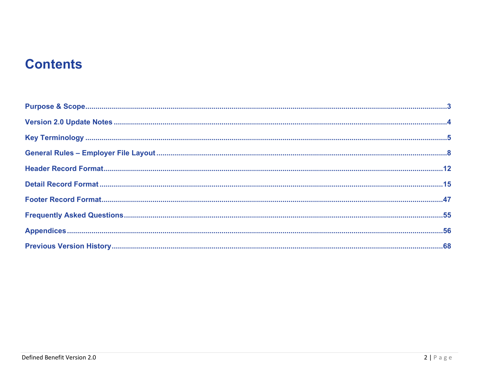# **Contents**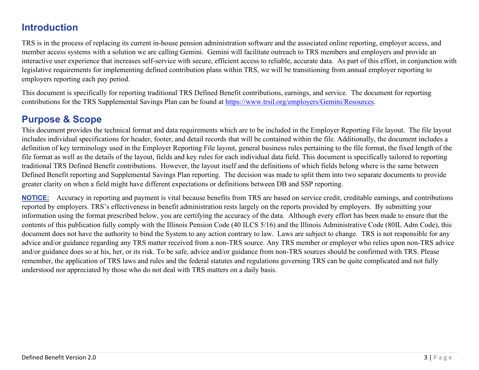## **Introduction**

TRS is in the process of replacing its current in-house pension administration software and the associated online reporting, employer access, and member access systems with a solution we are calling Gemini. Gemini will facilitate outreach to TRS members and employers and provide an interactive user experience that increases self-service with secure, efficient access to reliable, accurate data. As part of this effort, in conjunction with legislative requirements for implementing defined contribution plans within TRS, we will be transitioning from annual employer reporting to employers reporting each pay period.

This document is specifically for reporting traditional TRS Defined Benefit contributions, earnings, and service. The document for reporting contributions for the TRS Supplemental Savings Plan can be found at [https://www.trsil.org/employers/Gemini/Resources.](https://www.trsil.org/employers/Gemini/Resources)

## <span id="page-2-0"></span>**Purpose & Scope**

This document provides the technical format and data requirements which are to be included in the Employer Reporting File layout. The file layout includes individual specifications for header, footer, and detail records that will be contained within the file. Additionally, the document includes a definition of key terminology used in the Employer Reporting File layout, general business rules pertaining to the file format, the fixed length of the file format as well as the details of the layout, fields and key rules for each individual data field. This document is specifically tailored to reporting traditional TRS Defined Benefit contributions. However, the layout itself and the definitions of which fields belong where is the same between Defined Benefit reporting and Supplemental Savings Plan reporting. The decision was made to split them into two separate documents to provide greater clarity on when a field might have different expectations or definitions between DB and SSP reporting.

**NOTICE:** Accuracy in reporting and payment is vital because benefits from TRS are based on service credit, creditable earnings, and contributions reported by employers. TRS's effectiveness in benefit administration rests largely on the reports provided by employers. By submitting your information using the format prescribed below, you are certifying the accuracy of the data. Although every effort has been made to ensure that the contents of this publication fully comply with the Illinois Pension Code (40 ILCS 5/16) and the Illinois Administrative Code (80IL Adm Code), this document does not have the authority to bind the System to any action contrary to law. Laws are subject to change. TRS is not responsible for any advice and/or guidance regarding any TRS matter received from a non-TRS source. Any TRS member or employer who relies upon non-TRS advice and/or guidance does so at his, her, or its risk. To be safe, advice and/or guidance from non-TRS sources should be confirmed with TRS. Please remember, the application of TRS laws and rules and the federal statutes and regulations governing TRS can be quite complicated and not fully understood nor appreciated by those who do not deal with TRS matters on a daily basis.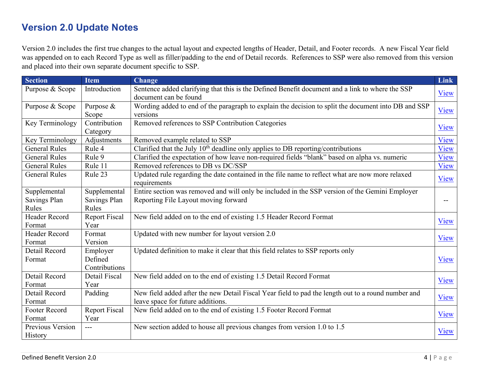## <span id="page-3-0"></span>**Version 2.0 Update Notes**

Version 2.0 includes the first true changes to the actual layout and expected lengths of Header, Detail, and Footer records. A new Fiscal Year field was appended on to each Record Type as well as filler/padding to the end of Detail records. References to SSP were also removed from this version and placed into their own separate document specific to SSP.

| <b>Section</b>       | <b>Item</b>          | <b>Change</b>                                                                                       | <b>Link</b> |
|----------------------|----------------------|-----------------------------------------------------------------------------------------------------|-------------|
| Purpose & Scope      | Introduction         | Sentence added clarifying that this is the Defined Benefit document and a link to where the SSP     | View        |
|                      |                      | document can be found                                                                               |             |
| Purpose & Scope      | Purpose $&$          | Wording added to end of the paragraph to explain the decision to split the document into DB and SSP | View        |
|                      | Scope                | versions                                                                                            |             |
| Key Terminology      | Contribution         | Removed references to SSP Contribution Categories                                                   | <b>View</b> |
|                      | Category             |                                                                                                     |             |
| Key Terminology      | Adjustments          | Removed example related to SSP                                                                      | View        |
| <b>General Rules</b> | Rule 4               | Clarified that the July $10th$ deadline only applies to DB reporting/contributions                  | View        |
| <b>General Rules</b> | Rule 9               | Clarified the expectation of how leave non-required fields "blank" based on alpha vs. numeric       | View        |
| <b>General Rules</b> | Rule 11              | Removed references to DB vs DC/SSP                                                                  | View        |
| <b>General Rules</b> | Rule 23              | Updated rule regarding the date contained in the file name to reflect what are now more relaxed     | View        |
|                      |                      | requirements                                                                                        |             |
| Supplemental         | Supplemental         | Entire section was removed and will only be included in the SSP version of the Gemini Employer      |             |
| Savings Plan         | Savings Plan         | Reporting File Layout moving forward                                                                | --          |
| Rules                | Rules                |                                                                                                     |             |
| Header Record        | <b>Report Fiscal</b> | New field added on to the end of existing 1.5 Header Record Format                                  | View        |
| Format               | Year                 |                                                                                                     |             |
| <b>Header Record</b> | Format               | Updated with new number for layout version 2.0                                                      | View        |
| Format               | Version              |                                                                                                     |             |
| Detail Record        | Employer             | Updated definition to make it clear that this field relates to SSP reports only                     |             |
| Format               | Defined              |                                                                                                     | View        |
|                      | Contributions        |                                                                                                     |             |
| Detail Record        | Detail Fiscal        | New field added on to the end of existing 1.5 Detail Record Format                                  | View        |
| Format               | Year                 |                                                                                                     |             |
| Detail Record        | Padding              | New field added after the new Detail Fiscal Year field to pad the length out to a round number and  | <b>View</b> |
| Format               |                      | leave space for future additions.                                                                   |             |
| Footer Record        | <b>Report Fiscal</b> | New field added on to the end of existing 1.5 Footer Record Format                                  | View        |
| Format               | Year                 |                                                                                                     |             |
| Previous Version     | $---$                | New section added to house all previous changes from version 1.0 to 1.5                             | View        |
| History              |                      |                                                                                                     |             |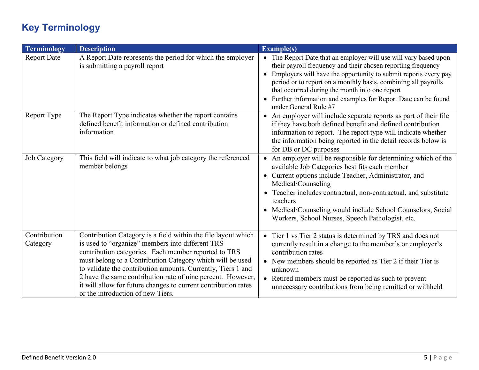## <span id="page-4-0"></span>**Key Terminology**

<span id="page-4-2"></span><span id="page-4-1"></span>

| Terminology              | <b>Description</b>                                                                                                                                                                                                                                                                                                                                                                                                                                                           | Example(s)                                                                                                                                                                                                                                                                                                                                                                                                            |
|--------------------------|------------------------------------------------------------------------------------------------------------------------------------------------------------------------------------------------------------------------------------------------------------------------------------------------------------------------------------------------------------------------------------------------------------------------------------------------------------------------------|-----------------------------------------------------------------------------------------------------------------------------------------------------------------------------------------------------------------------------------------------------------------------------------------------------------------------------------------------------------------------------------------------------------------------|
| <b>Report Date</b>       | A Report Date represents the period for which the employer<br>is submitting a payroll report                                                                                                                                                                                                                                                                                                                                                                                 | • The Report Date that an employer will use will vary based upon<br>their payroll frequency and their chosen reporting frequency<br>• Employers will have the opportunity to submit reports every pay<br>period or to report on a monthly basis, combining all payrolls<br>that occurred during the month into one report<br>• Further information and examples for Report Date can be found<br>under General Rule #7 |
| Report Type              | The Report Type indicates whether the report contains<br>defined benefit information or defined contribution<br>information                                                                                                                                                                                                                                                                                                                                                  | • An employer will include separate reports as part of their file<br>if they have both defined benefit and defined contribution<br>information to report. The report type will indicate whether<br>the information being reported in the detail records below is<br>for DB or DC purposes                                                                                                                             |
| <b>Job Category</b>      | This field will indicate to what job category the referenced<br>member belongs                                                                                                                                                                                                                                                                                                                                                                                               | • An employer will be responsible for determining which of the<br>available Job Categories best fits each member<br>• Current options include Teacher, Administrator, and<br>Medical/Counseling<br>Teacher includes contractual, non-contractual, and substitute<br>$\bullet$<br>teachers<br>• Medical/Counseling would include School Counselors, Social<br>Workers, School Nurses, Speech Pathologist, etc.         |
| Contribution<br>Category | Contribution Category is a field within the file layout which<br>is used to "organize" members into different TRS<br>contribution categories. Each member reported to TRS<br>must belong to a Contribution Category which will be used<br>to validate the contribution amounts. Currently, Tiers 1 and<br>2 have the same contribution rate of nine percent. However,<br>it will allow for future changes to current contribution rates<br>or the introduction of new Tiers. | • Tier 1 vs Tier 2 status is determined by TRS and does not<br>currently result in a change to the member's or employer's<br>contribution rates<br>• New members should be reported as Tier 2 if their Tier is<br>unknown<br>• Retired members must be reported as such to prevent<br>unnecessary contributions from being remitted or withheld                                                                       |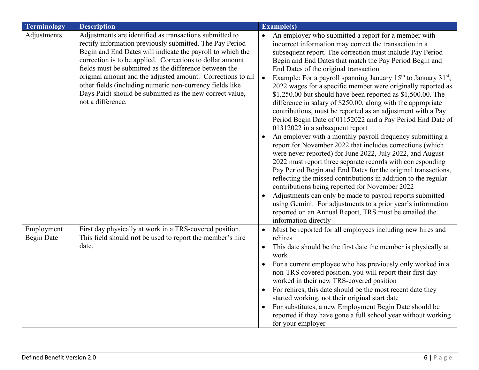<span id="page-5-1"></span><span id="page-5-0"></span>

| <b>Terminology</b>              | <b>Description</b>                                                                                                                                                                                                                                                                                                                                                                                                                                                                                                   | <b>Example(s)</b>                                                                                                                                                                                                                                                                                                                                                                                                                                                                                                                                                                                                                                                                                                       |
|---------------------------------|----------------------------------------------------------------------------------------------------------------------------------------------------------------------------------------------------------------------------------------------------------------------------------------------------------------------------------------------------------------------------------------------------------------------------------------------------------------------------------------------------------------------|-------------------------------------------------------------------------------------------------------------------------------------------------------------------------------------------------------------------------------------------------------------------------------------------------------------------------------------------------------------------------------------------------------------------------------------------------------------------------------------------------------------------------------------------------------------------------------------------------------------------------------------------------------------------------------------------------------------------------|
| Adjustments                     | Adjustments are identified as transactions submitted to<br>rectify information previously submitted. The Pay Period<br>Begin and End Dates will indicate the payroll to which the<br>correction is to be applied. Corrections to dollar amount<br>fields must be submitted as the difference between the<br>original amount and the adjusted amount. Corrections to all<br>other fields (including numeric non-currency fields like<br>Days Paid) should be submitted as the new correct value,<br>not a difference. | An employer who submitted a report for a member with<br>incorrect information may correct the transaction in a<br>subsequent report. The correction must include Pay Period<br>Begin and End Dates that match the Pay Period Begin and<br>End Dates of the original transaction<br>Example: For a payroll spanning January $15th$ to January $31st$ ,<br>2022 wages for a specific member were originally reported as<br>$$1,250.00$ but should have been reported as $$1,500.00$ . The<br>difference in salary of \$250.00, along with the appropriate<br>contributions, must be reported as an adjustment with a Pay<br>Period Begin Date of 01152022 and a Pay Period End Date of<br>01312022 in a subsequent report |
|                                 |                                                                                                                                                                                                                                                                                                                                                                                                                                                                                                                      | An employer with a monthly payroll frequency submitting a<br>report for November 2022 that includes corrections (which<br>were never reported) for June 2022, July 2022, and August<br>2022 must report three separate records with corresponding<br>Pay Period Begin and End Dates for the original transactions,<br>reflecting the missed contributions in addition to the regular<br>contributions being reported for November 2022<br>Adjustments can only be made to payroll reports submitted<br>using Gemini. For adjustments to a prior year's information<br>reported on an Annual Report, TRS must be emailed the<br>information directly                                                                     |
| Employment<br><b>Begin Date</b> | First day physically at work in a TRS-covered position.<br>This field should not be used to report the member's hire                                                                                                                                                                                                                                                                                                                                                                                                 | Must be reported for all employees including new hires and<br>rehires                                                                                                                                                                                                                                                                                                                                                                                                                                                                                                                                                                                                                                                   |
|                                 | date.                                                                                                                                                                                                                                                                                                                                                                                                                                                                                                                | This date should be the first date the member is physically at<br>work                                                                                                                                                                                                                                                                                                                                                                                                                                                                                                                                                                                                                                                  |
|                                 |                                                                                                                                                                                                                                                                                                                                                                                                                                                                                                                      | For a current employee who has previously only worked in a<br>non-TRS covered position, you will report their first day<br>worked in their new TRS-covered position                                                                                                                                                                                                                                                                                                                                                                                                                                                                                                                                                     |
|                                 |                                                                                                                                                                                                                                                                                                                                                                                                                                                                                                                      | For rehires, this date should be the most recent date they                                                                                                                                                                                                                                                                                                                                                                                                                                                                                                                                                                                                                                                              |
|                                 |                                                                                                                                                                                                                                                                                                                                                                                                                                                                                                                      | started working, not their original start date<br>For substitutes, a new Employment Begin Date should be                                                                                                                                                                                                                                                                                                                                                                                                                                                                                                                                                                                                                |
|                                 |                                                                                                                                                                                                                                                                                                                                                                                                                                                                                                                      | reported if they have gone a full school year without working<br>for your employer                                                                                                                                                                                                                                                                                                                                                                                                                                                                                                                                                                                                                                      |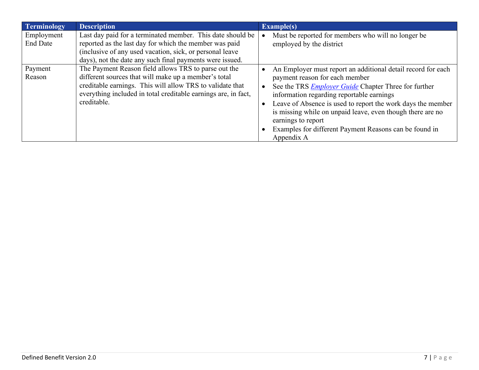| Terminology     | <b>Description</b>                                             | Example(s)                                                   |
|-----------------|----------------------------------------------------------------|--------------------------------------------------------------|
| Employment      | Last day paid for a terminated member. This date should be     | Must be reported for members who will no longer be           |
| <b>End Date</b> | reported as the last day for which the member was paid         | employed by the district                                     |
|                 | (inclusive of any used vacation, sick, or personal leave       |                                                              |
|                 | days), not the date any such final payments were issued.       |                                                              |
| Payment         | The Payment Reason field allows TRS to parse out the           | An Employer must report an additional detail record for each |
| Reason          | different sources that will make up a member's total           | payment reason for each member                               |
|                 | creditable earnings. This will allow TRS to validate that      | See the TRS <i>Employer Guide</i> Chapter Three for further  |
|                 | everything included in total creditable earnings are, in fact, | information regarding reportable earnings                    |
|                 | creditable.                                                    | Leave of Absence is used to report the work days the member  |
|                 |                                                                | is missing while on unpaid leave, even though there are no   |
|                 |                                                                | earnings to report                                           |
|                 |                                                                | Examples for different Payment Reasons can be found in       |
|                 |                                                                | Appendix A                                                   |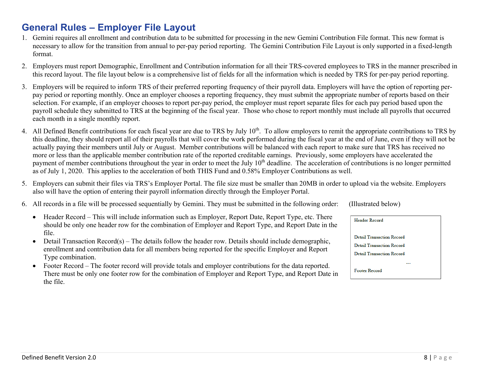## <span id="page-7-0"></span>**General Rules – Employer File Layout**

- 1. Gemini requires all enrollment and contribution data to be submitted for processing in the new Gemini Contribution File format. This new format is necessary to allow for the transition from annual to per-pay period reporting. The Gemini Contribution File Layout is only supported in a fixed-length format.
- 2. Employers must report Demographic, Enrollment and Contribution information for all their TRS-covered employees to TRS in the manner prescribed in this record layout. The file layout below is a comprehensive list of fields for all the information which is needed by TRS for per-pay period reporting.
- <span id="page-7-2"></span>3. Employers will be required to inform TRS of their preferred reporting frequency of their payroll data. Employers will have the option of reporting perpay period or reporting monthly. Once an employer chooses a reporting frequency, they must submit the appropriate number of reports based on their selection. For example, if an employer chooses to report per-pay period, the employer must report separate files for each pay period based upon the payroll schedule they submitted to TRS at the beginning of the fiscal year. Those who chose to report monthly must include all payrolls that occurred each month in a single monthly report.
- <span id="page-7-1"></span>4. All Defined Benefit contributions for each fiscal year are due to TRS by July 10<sup>th</sup>. To allow employers to remit the appropriate contributions to TRS by this deadline, they should report all of their payrolls that will cover the work performed during the fiscal year at the end of June, even if they will not be actually paying their members until July or August. Member contributions will be balanced with each report to make sure that TRS has received no more or less than the applicable member contribution rate of the reported creditable earnings. Previously, some employers have accelerated the payment of member contributions throughout the year in order to meet the July  $10<sup>th</sup>$  deadline. The acceleration of contributions is no longer permitted as of July 1, 2020. This applies to the acceleration of both THIS Fund and 0.58% Employer Contributions as well.
- <span id="page-7-3"></span>5. Employers can submit their files via TRS's Employer Portal. The file size must be smaller than 20MB in order to upload via the website. Employers also will have the option of entering their payroll information directly through the Employer Portal.
- 6. All records in a file will be processed sequentially by Gemini. They must be submitted in the following order: (Illustrated below)
	- Header Record This will include information such as Employer, Report Date, Report Type, etc. There should be only one header row for the combination of Employer and Report Type, and Report Date in the file.
	- Detail Transaction  $Record(s)$  The details follow the header row. Details should include demographic, enrollment and contribution data for all members being reported for the specific Employer and Report Type combination.
	- Footer Record The footer record will provide totals and employer contributions for the data reported. There must be only one footer row for the combination of Employer and Report Type, and Report Date in the file.

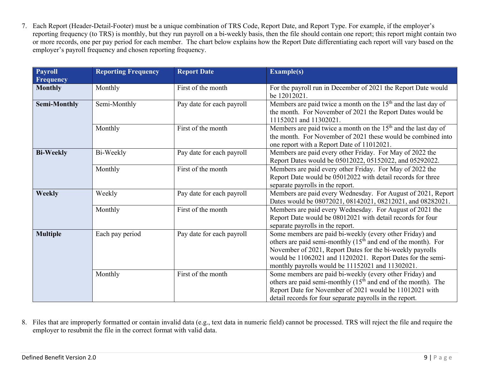7. Each Report (Header-Detail-Footer) must be a unique combination of TRS Code, Report Date, and Report Type. For example, if the employer's reporting frequency (to TRS) is monthly, but they run payroll on a bi-weekly basis, then the file should contain one report; this report might contain two or more records, one per pay period for each member. The chart below explains how the Report Date differentiating each report will vary based on the employer's payroll frequency and chosen reporting frequency.

| <b>Payroll</b>      | <b>Reporting Frequency</b> | <b>Report Date</b>        | <b>Example(s)</b>                                                                                                                                                                                                                                                                                          |  |  |
|---------------------|----------------------------|---------------------------|------------------------------------------------------------------------------------------------------------------------------------------------------------------------------------------------------------------------------------------------------------------------------------------------------------|--|--|
| <b>Frequency</b>    |                            |                           |                                                                                                                                                                                                                                                                                                            |  |  |
| <b>Monthly</b>      | Monthly                    | First of the month        | For the payroll run in December of 2021 the Report Date would<br>be 12012021.                                                                                                                                                                                                                              |  |  |
| <b>Semi-Monthly</b> | Semi-Monthly               | Pay date for each payroll | Members are paid twice a month on the $15th$ and the last day of<br>the month. For November of 2021 the Report Dates would be<br>11152021 and 11302021.                                                                                                                                                    |  |  |
|                     | Monthly                    | First of the month        | Members are paid twice a month on the $15th$ and the last day of<br>the month. For November of 2021 these would be combined into<br>one report with a Report Date of 11012021.                                                                                                                             |  |  |
| <b>Bi-Weekly</b>    | Bi-Weekly                  | Pay date for each payroll | Members are paid every other Friday. For May of 2022 the<br>Report Dates would be 05012022, 05152022, and 05292022.                                                                                                                                                                                        |  |  |
|                     | Monthly                    | First of the month        | Members are paid every other Friday. For May of 2022 the<br>Report Date would be 05012022 with detail records for three<br>separate payrolls in the report.                                                                                                                                                |  |  |
| <b>Weekly</b>       | Weekly                     | Pay date for each payroll | Members are paid every Wednesday. For August of 2021, Report<br>Dates would be 08072021, 08142021, 08212021, and 08282021.                                                                                                                                                                                 |  |  |
|                     | Monthly                    | First of the month        | Members are paid every Wednesday. For August of 2021 the<br>Report Date would be 08012021 with detail records for four<br>separate payrolls in the report.                                                                                                                                                 |  |  |
| <b>Multiple</b>     | Each pay period            | Pay date for each payroll | Some members are paid bi-weekly (every other Friday) and<br>others are paid semi-monthly $(15th$ and end of the month). For<br>November of 2021, Report Dates for the bi-weekly payrolls<br>would be 11062021 and 11202021. Report Dates for the semi-<br>monthly payrolls would be 11152021 and 11302021. |  |  |
|                     | Monthly                    | First of the month        | Some members are paid bi-weekly (every other Friday) and<br>others are paid semi-monthly $(15th$ and end of the month). The<br>Report Date for November of 2021 would be 11012021 with<br>detail records for four separate payrolls in the report.                                                         |  |  |

8. Files that are improperly formatted or contain invalid data (e.g., text data in numeric field) cannot be processed. TRS will reject the file and require the employer to resubmit the file in the correct format with valid data.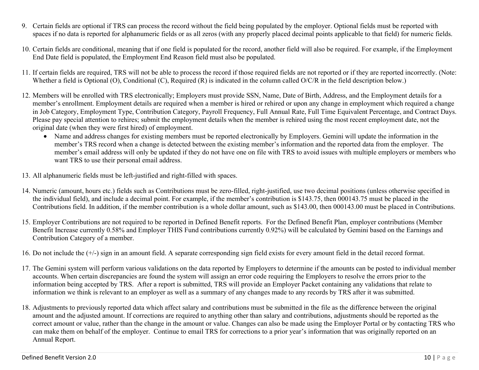- <span id="page-9-0"></span>9. Certain fields are optional if TRS can process the record without the field being populated by the employer. Optional fields must be reported with spaces if no data is reported for alphanumeric fields or as all zeros (with any properly placed decimal points applicable to that field) for numeric fields.
- 10. Certain fields are conditional, meaning that if one field is populated for the record, another field will also be required. For example, if the Employment End Date field is populated, the Employment End Reason field must also be populated.
- <span id="page-9-1"></span>11. If certain fields are required, TRS will not be able to process the record if those required fields are not reported or if they are reported incorrectly. (Note: Whether a field is Optional (O), Conditional (C), Required (R) is indicated in the column called O/C/R in the field description below.)
- <span id="page-9-2"></span>12. Members will be enrolled with TRS electronically; Employers must provide SSN, Name, Date of Birth, Address, and the Employment details for a member's enrollment. Employment details are required when a member is hired or rehired or upon any change in employment which required a change in Job Category, Employment Type, Contribution Category, Payroll Frequency, Full Annual Rate, Full Time Equivalent Percentage, and Contract Days. Please pay special attention to rehires; submit the employment details when the member is rehired using the most recent employment date, not the original date (when they were first hired) of employment.
	- Name and address changes for existing members must be reported electronically by Employers. Gemini will update the information in the member's TRS record when a change is detected between the existing member's information and the reported data from the employer. The member's email address will only be updated if they do not have one on file with TRS to avoid issues with multiple employers or members who want TRS to use their personal email address.
- 13. All alphanumeric fields must be left-justified and right-filled with spaces.
- 14. Numeric (amount, hours etc.) fields such as Contributions must be zero-filled, right-justified, use two decimal positions (unless otherwise specified in the individual field), and include a decimal point. For example, if the member's contribution is \$143.75, then 000143.75 must be placed in the Contributions field. In addition, if the member contribution is a whole dollar amount, such as \$143.00, then 000143.00 must be placed in Contributions.
- 15. Employer Contributions are not required to be reported in Defined Benefit reports. For the Defined Benefit Plan, employer contributions (Member Benefit Increase currently 0.58% and Employer THIS Fund contributions currently 0.92%) will be calculated by Gemini based on the Earnings and Contribution Category of a member.
- 16. Do not include the (+/-) sign in an amount field. A separate corresponding sign field exists for every amount field in the detail record format.
- <span id="page-9-3"></span>17. The Gemini system will perform various validations on the data reported by Employers to determine if the amounts can be posted to individual member accounts. When certain discrepancies are found the system will assign an error code requiring the Employers to resolve the errors prior to the information being accepted by TRS. After a report is submitted, TRS will provide an Employer Packet containing any validations that relate to information we think is relevant to an employer as well as a summary of any changes made to any records by TRS after it was submitted.
- <span id="page-9-4"></span>18. Adjustments to previously reported data which affect salary and contributions must be submitted in the file as the difference between the original amount and the adjusted amount. If corrections are required to anything other than salary and contributions, adjustments should be reported as the correct amount or value, rather than the change in the amount or value. Changes can also be made using the Employer Portal or by contacting TRS who can make them on behalf of the employer. Continue to email TRS for corrections to a prior year's information that was originally reported on an Annual Report.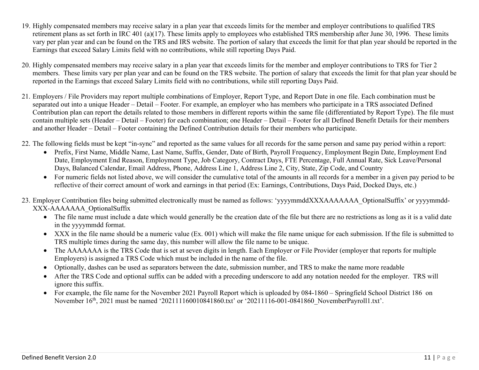- 19. Highly compensated members may receive salary in a plan year that exceeds limits for the member and employer contributions to qualified TRS retirement plans as set forth in IRC 401 (a)(17). These limits apply to employees who established TRS membership after June 30, 1996. These limits vary per plan year and can be found on the TRS and IRS website. The portion of salary that exceeds the limit for that plan year should be reported in the Earnings that exceed Salary Limits field with no contributions, while still reporting Days Paid.
- 20. Highly compensated members may receive salary in a plan year that exceeds limits for the member and employer contributions to TRS for Tier 2 members. These limits vary per plan year and can be found on the TRS website. The portion of salary that exceeds the limit for that plan year should be reported in the Earnings that exceed Salary Limits field with no contributions, while still reporting Days Paid.
- 21. Employers / File Providers may report multiple combinations of Employer, Report Type, and Report Date in one file. Each combination must be separated out into a unique Header – Detail – Footer. For example, an employer who has members who participate in a TRS associated Defined Contribution plan can report the details related to those members in different reports within the same file (differentiated by Report Type). The file must contain multiple sets (Header – Detail – Footer) for each combination; one Header – Detail – Footer for all Defined Benefit Details for their members and another Header – Detail – Footer containing the Defined Contribution details for their members who participate.
- <span id="page-10-1"></span>22. The following fields must be kept "in-sync" and reported as the same values for all records for the same person and same pay period within a report:
	- Prefix, First Name, Middle Name, Last Name, Suffix, Gender, Date of Birth, Payroll Frequency, Employment Begin Date, Employment End Date, Employment End Reason, Employment Type, Job Category, Contract Days, FTE Percentage, Full Annual Rate, Sick Leave/Personal Days, Balanced Calendar, Email Address, Phone, Address Line 1, Address Line 2, City, State, Zip Code, and Country
	- For numeric fields not listed above, we will consider the cumulative total of the amounts in all records for a member in a given pay period to be reflective of their correct amount of work and earnings in that period (Ex: Earnings, Contributions, Days Paid, Docked Days, etc.)
- <span id="page-10-0"></span>23. Employer Contribution files being submitted electronically must be named as follows: 'yyyymmddXXXAAAAAAAA OptionalSuffix' or yyyymmdd-XXX-AAAAAAA\_OptionalSuffix
	- The file name must include a date which would generally be the creation date of the file but there are no restrictions as long as it is a valid date in the yyyymmdd format.
	- XXX in the file name should be a numeric value (Ex. 001) which will make the file name unique for each submission. If the file is submitted to TRS multiple times during the same day, this number will allow the file name to be unique.
	- The AAAAAAA is the TRS Code that is set at seven digits in length. Each Employer or File Provider (employer that reports for multiple Employers) is assigned a TRS Code which must be included in the name of the file.
	- Optionally, dashes can be used as separators between the date, submission number, and TRS to make the name more readable
	- After the TRS Code and optional suffix can be added with a preceding underscore to add any notation needed for the employer. TRS will ignore this suffix.
	- For example, the file name for the November 2021 Payroll Report which is uploaded by 084-1860 Springfield School District 186 on November 16<sup>th</sup>, 2021 must be named '202111160010841860.txt' or '20211116-001-0841860\_NovemberPayroll1.txt'.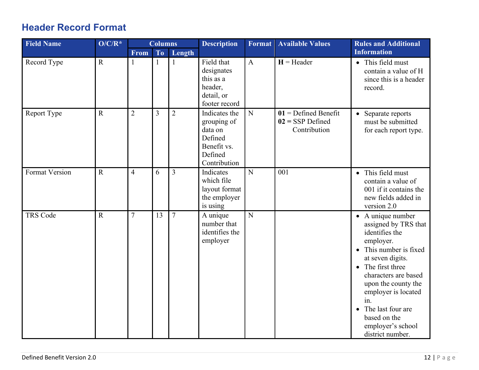## <span id="page-11-0"></span>**Header Record Format**

<span id="page-11-2"></span><span id="page-11-1"></span>

| <b>Field Name</b>     | $O/C/R^*$   | <b>Columns</b> |              | <b>Description</b> | <b>Format</b>                                                                                | <b>Available Values</b> | <b>Rules and Additional</b>                                  |                                                                                                                                                                                                                                                                                                                   |  |
|-----------------------|-------------|----------------|--------------|--------------------|----------------------------------------------------------------------------------------------|-------------------------|--------------------------------------------------------------|-------------------------------------------------------------------------------------------------------------------------------------------------------------------------------------------------------------------------------------------------------------------------------------------------------------------|--|
|                       |             | <b>From</b>    | To           | Length             |                                                                                              |                         |                                                              | <b>Information</b>                                                                                                                                                                                                                                                                                                |  |
| Record Type           | $\mathbf R$ | $\mathbf{1}$   | $\mathbf{1}$ | $\mathbf{1}$       | Field that<br>designates<br>this as a<br>header,<br>detail, or<br>footer record              | $\mathbf{A}$            | $H =$ Header                                                 | • This field must<br>contain a value of H<br>since this is a header<br>record.                                                                                                                                                                                                                                    |  |
| Report Type           | ${\bf R}$   | $\overline{2}$ | 3            | $\overline{2}$     | Indicates the<br>grouping of<br>data on<br>Defined<br>Benefit vs.<br>Defined<br>Contribution | ${\bf N}$               | $01$ = Defined Benefit<br>$02 =$ SSP Defined<br>Contribution | • Separate reports<br>must be submitted<br>for each report type.                                                                                                                                                                                                                                                  |  |
| <b>Format Version</b> | $\mathbf R$ | $\overline{4}$ | 6            | $\overline{3}$     | Indicates<br>which file<br>layout format<br>the employer<br>is using                         | $\overline{N}$          | 001                                                          | This field must<br>$\bullet$<br>contain a value of<br>001 if it contains the<br>new fields added in<br>version 2.0                                                                                                                                                                                                |  |
| <b>TRS Code</b>       | $\mathbf R$ | $\overline{7}$ | 13           | $\overline{7}$     | A unique<br>number that<br>identifies the<br>employer                                        | ${\bf N}$               |                                                              | • A unique number<br>assigned by TRS that<br>identifies the<br>employer.<br>• This number is fixed<br>at seven digits.<br>The first three<br>characters are based<br>upon the county the<br>employer is located<br>in.<br>The last four are<br>$\bullet$<br>based on the<br>employer's school<br>district number. |  |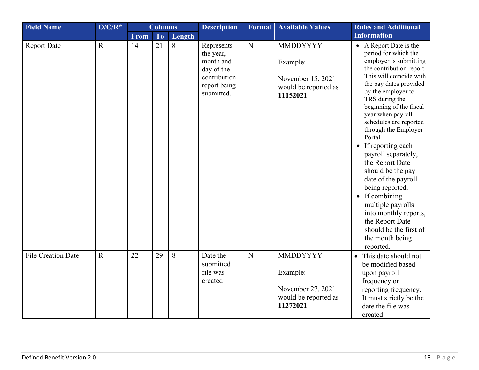| <b>Field Name</b>         | $O/C/R^*$   |             | <b>Columns</b> |        | <b>Description</b>                                                                               | <b>Format</b> | <b>Available Values</b>                                                              | <b>Rules and Additional</b>                                                                                                                                                                                                                                                                                                                                                                                                                                                                                                                                                                         |
|---------------------------|-------------|-------------|----------------|--------|--------------------------------------------------------------------------------------------------|---------------|--------------------------------------------------------------------------------------|-----------------------------------------------------------------------------------------------------------------------------------------------------------------------------------------------------------------------------------------------------------------------------------------------------------------------------------------------------------------------------------------------------------------------------------------------------------------------------------------------------------------------------------------------------------------------------------------------------|
|                           |             | <b>From</b> | <b>To</b>      | Length |                                                                                                  |               |                                                                                      | <b>Information</b>                                                                                                                                                                                                                                                                                                                                                                                                                                                                                                                                                                                  |
| <b>Report Date</b>        | $\mathbf R$ | 14          | 21             | 8      | Represents<br>the year,<br>month and<br>day of the<br>contribution<br>report being<br>submitted. | ${\bf N}$     | <b>MMDDYYYY</b><br>Example:<br>November 15, 2021<br>would be reported as<br>11152021 | • A Report Date is the<br>period for which the<br>employer is submitting<br>the contribution report.<br>This will coincide with<br>the pay dates provided<br>by the employer to<br>TRS during the<br>beginning of the fiscal<br>year when payroll<br>schedules are reported<br>through the Employer<br>Portal.<br>• If reporting each<br>payroll separately,<br>the Report Date<br>should be the pay<br>date of the payroll<br>being reported.<br>$\bullet$ If combining<br>multiple payrolls<br>into monthly reports,<br>the Report Date<br>should be the first of<br>the month being<br>reported. |
| <b>File Creation Date</b> | $\mathbf R$ | 22          | 29             | 8      | Date the<br>submitted<br>file was<br>created                                                     | ${\bf N}$     | <b>MMDDYYYY</b><br>Example:<br>November 27, 2021<br>would be reported as<br>11272021 | • This date should not<br>be modified based<br>upon payroll<br>frequency or<br>reporting frequency.<br>It must strictly be the<br>date the file was<br>created.                                                                                                                                                                                                                                                                                                                                                                                                                                     |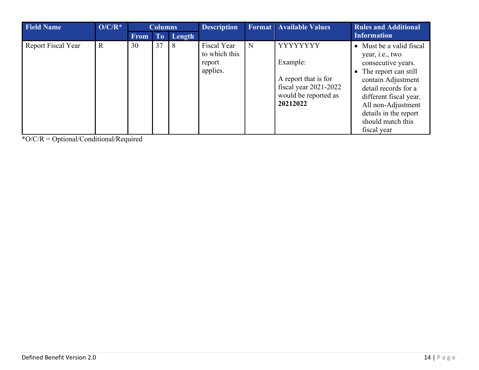<span id="page-13-0"></span>

| <b>Field Name</b>  | $O/C/R^*$   |             | <b>Columns</b> |            | <b>Description</b>                                 |   | <b>Format</b> Available Values                                                                             | <b>Rules and Additional</b>                                                                                                                                                                                                                                    |
|--------------------|-------------|-------------|----------------|------------|----------------------------------------------------|---|------------------------------------------------------------------------------------------------------------|----------------------------------------------------------------------------------------------------------------------------------------------------------------------------------------------------------------------------------------------------------------|
|                    |             | <b>From</b> | T <sub>o</sub> | Length     |                                                    |   |                                                                                                            | <b>Information</b>                                                                                                                                                                                                                                             |
| Report Fiscal Year | $\mathbf R$ | 30          | 37             | $\sqrt{8}$ | Fiscal Year<br>to which this<br>report<br>applies. | N | YYYYYYY<br>Example:<br>A report that is for<br>fiscal year $2021-2022$<br>would be reported as<br>20212022 | • Must be a valid fiscal<br>year, <i>i.e.</i> , two<br>consecutive years.<br>• The report can still<br>contain Adjustment<br>detail records for a<br>different fiscal year.<br>All non-Adjustment<br>details in the report<br>should match this<br>fiscal year |

\*O/C/R = Optional/Conditional/Required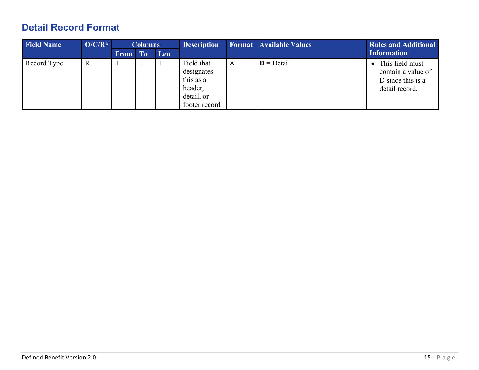## <span id="page-14-0"></span>**Detail Record Format**

| <b>Field Name</b> | $O/C/R^*$ | <b>Columns</b> |           | <b>Description</b> |                                                                                 | <b>Format</b> Available Values | <b>Rules and Additional</b> |                                                                              |
|-------------------|-----------|----------------|-----------|--------------------|---------------------------------------------------------------------------------|--------------------------------|-----------------------------|------------------------------------------------------------------------------|
|                   |           | <b>From</b>    | <b>To</b> | Len                |                                                                                 |                                |                             | <b>Information</b>                                                           |
| Record Type       | R         |                |           |                    | Field that<br>designates<br>this as a<br>header,<br>detail, or<br>footer record | A                              | $D = Detail$                | This field must<br>contain a value of<br>D since this is a<br>detail record. |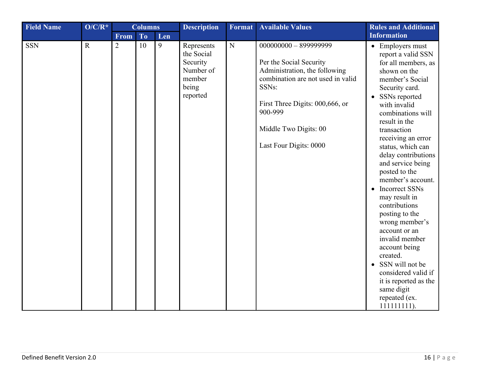| <b>Field Name</b> | $O/C/R^*$   |                | <b>Columns</b> |     | <b>Description</b>                                                               | Format      | <b>Available Values</b>                                                                                                                                                                                 | <b>Rules and Additional</b>                                                                                                                                                                                                                                                                                                                                                                                                                                                                                                                                                                                                                           |
|-------------------|-------------|----------------|----------------|-----|----------------------------------------------------------------------------------|-------------|---------------------------------------------------------------------------------------------------------------------------------------------------------------------------------------------------------|-------------------------------------------------------------------------------------------------------------------------------------------------------------------------------------------------------------------------------------------------------------------------------------------------------------------------------------------------------------------------------------------------------------------------------------------------------------------------------------------------------------------------------------------------------------------------------------------------------------------------------------------------------|
|                   |             | <b>From</b>    | <b>To</b>      | Len |                                                                                  |             |                                                                                                                                                                                                         | <b>Information</b>                                                                                                                                                                                                                                                                                                                                                                                                                                                                                                                                                                                                                                    |
| <b>SSN</b>        | $\mathbf R$ | $\overline{2}$ | 10             | 9   | Represents<br>the Social<br>Security<br>Number of<br>member<br>being<br>reported | $\mathbf N$ | Per the Social Security<br>Administration, the following<br>combination are not used in valid<br>SSNs:<br>First Three Digits: 000,666, or<br>900-999<br>Middle Two Digits: 00<br>Last Four Digits: 0000 | • Employers must<br>report a valid SSN<br>for all members, as<br>shown on the<br>member's Social<br>Security card.<br>SSNs reported<br>$\bullet$<br>with invalid<br>combinations will<br>result in the<br>transaction<br>receiving an error<br>status, which can<br>delay contributions<br>and service being<br>posted to the<br>member's account.<br>Incorrect SSNs<br>$\bullet$<br>may result in<br>contributions<br>posting to the<br>wrong member's<br>account or an<br>invalid member<br>account being<br>created.<br>SSN will not be<br>$\bullet$<br>considered valid if<br>it is reported as the<br>same digit<br>repeated (ex.<br>111111111). |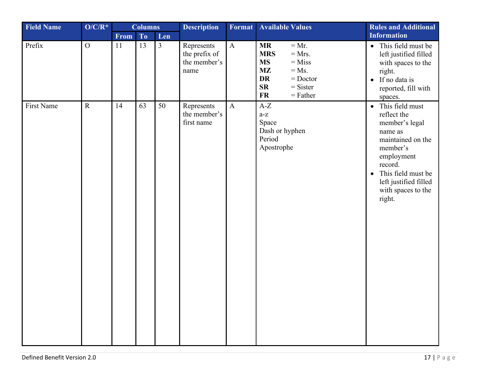<span id="page-16-0"></span>

| <b>Field Name</b> | $O/C/R^*$      |             | <b>Columns</b> |                | <b>Description</b>                                  | Format       | <b>Available Values</b>                                                                                                                                                          | <b>Rules and Additional</b>                                                                                                                                                                            |
|-------------------|----------------|-------------|----------------|----------------|-----------------------------------------------------|--------------|----------------------------------------------------------------------------------------------------------------------------------------------------------------------------------|--------------------------------------------------------------------------------------------------------------------------------------------------------------------------------------------------------|
|                   |                | <b>From</b> | To             | Len            |                                                     |              |                                                                                                                                                                                  | <b>Information</b>                                                                                                                                                                                     |
| Prefix            | $\overline{O}$ | 11          | 13             | $\overline{3}$ | Represents<br>the prefix of<br>the member's<br>name | $\mathbf{A}$ | $= Mr.$<br><b>MR</b><br>$=$ Mrs.<br><b>MRS</b><br>$=$ Miss<br><b>MS</b><br><b>MZ</b><br>$=$ Ms.<br><b>DR</b><br>$=$ Doctor<br><b>SR</b><br>$=$ Sister<br><b>FR</b><br>$=$ Father | • This field must be<br>left justified filled<br>with spaces to the<br>right.<br>If no data is<br>$\bullet$<br>reported, fill with<br>spaces.                                                          |
| First Name        | $\mathbf R$    | 14          | 63             | 50             | Represents<br>the member's<br>first name            | $\mathbf{A}$ | $A-Z$<br>$a-z$<br>Space<br>Dash or hyphen<br>Period<br>Apostrophe                                                                                                                | • This field must<br>reflect the<br>member's legal<br>name as<br>maintained on the<br>member's<br>employment<br>record.<br>This field must be<br>left justified filled<br>with spaces to the<br>right. |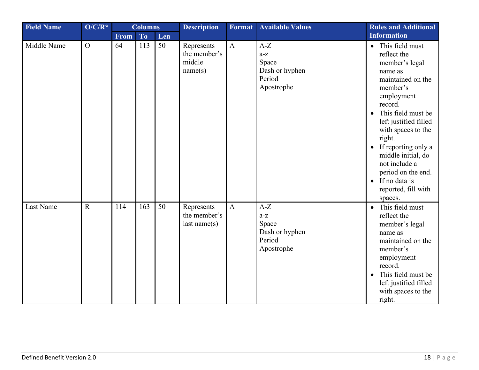<span id="page-17-1"></span><span id="page-17-0"></span>

| <b>Field Name</b> | $O/C/R^*$      | <b>Columns</b> |                | <b>Description</b> | <b>Format</b>                                   | <b>Available Values</b> | <b>Rules and Additional</b>                                       |                                                                                                                                                                                                                                                                                                                                                                                      |
|-------------------|----------------|----------------|----------------|--------------------|-------------------------------------------------|-------------------------|-------------------------------------------------------------------|--------------------------------------------------------------------------------------------------------------------------------------------------------------------------------------------------------------------------------------------------------------------------------------------------------------------------------------------------------------------------------------|
|                   |                | From           | T <sub>o</sub> | Len                |                                                 |                         |                                                                   | <b>Information</b>                                                                                                                                                                                                                                                                                                                                                                   |
| Middle Name       | $\overline{O}$ | 64             | 113            | 50                 | Represents<br>the member's<br>middle<br>name(s) | $\mathbf{A}$            | $A-Z$<br>$a-z$<br>Space<br>Dash or hyphen<br>Period<br>Apostrophe | • This field must<br>reflect the<br>member's legal<br>name as<br>maintained on the<br>member's<br>employment<br>record.<br>This field must be<br>$\bullet$<br>left justified filled<br>with spaces to the<br>right.<br>If reporting only a<br>$\bullet$<br>middle initial, do<br>not include a<br>period on the end.<br>If no data is<br>$\bullet$<br>reported, fill with<br>spaces. |
| Last Name         | $\mathbf R$    | 114            | 163            | 50                 | Represents<br>the member's<br>last name(s)      | $\mathbf{A}$            | $A-Z$<br>$a-z$<br>Space<br>Dash or hyphen<br>Period<br>Apostrophe | This field must<br>$\bullet$<br>reflect the<br>member's legal<br>name as<br>maintained on the<br>member's<br>employment<br>record.<br>This field must be<br>$\bullet$<br>left justified filled<br>with spaces to the<br>right.                                                                                                                                                       |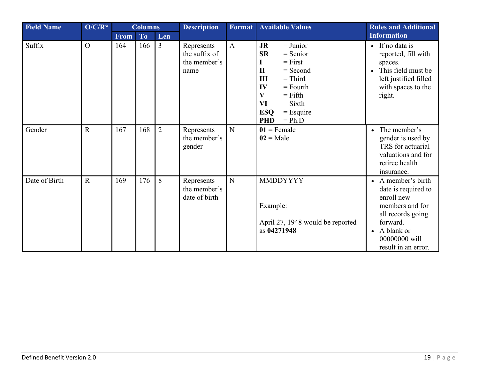| <b>Field Name</b> | $O/C/R^*$      | <b>Columns</b> |                | <b>Description</b> | Format                                              | <b>Available Values</b> | <b>Rules and Additional</b>                                                                                                                                                                                                                       |                                                                                                                                                                                |
|-------------------|----------------|----------------|----------------|--------------------|-----------------------------------------------------|-------------------------|---------------------------------------------------------------------------------------------------------------------------------------------------------------------------------------------------------------------------------------------------|--------------------------------------------------------------------------------------------------------------------------------------------------------------------------------|
|                   |                | <b>From</b>    | T <sub>o</sub> | Len                |                                                     |                         |                                                                                                                                                                                                                                                   | <b>Information</b>                                                                                                                                                             |
| Suffix            | $\overline{O}$ | 164            | 166            | $\overline{3}$     | Represents<br>the suffix of<br>the member's<br>name | $\mathbf{A}$            | $=$ Junior<br><b>JR</b><br><b>SR</b><br>$=$ Senior<br>$=$ First<br>L<br>$\mathbf{I}$<br>$=$ Second<br>$=$ Third<br>III<br>IV<br>$=$ Fourth<br>$\mathbf{V}$<br>$=$ Fifth<br>VI<br>$=$ Sixth<br><b>ESQ</b><br>$=$ Esquire<br><b>PHD</b><br>$= Ph.D$ | $\bullet$ If no data is<br>reported, fill with<br>spaces.<br>This field must be<br>left justified filled<br>with spaces to the<br>right.                                       |
| Gender            | $\mathbf R$    | 167            | 168            | $\overline{2}$     | Represents<br>the member's<br>gender                | $\mathbf N$             | $01$ = Female<br>$02 = Male$                                                                                                                                                                                                                      | The member's<br>$\bullet$<br>gender is used by<br>TRS for actuarial<br>valuations and for<br>retiree health<br>insurance.                                                      |
| Date of Birth     | $\mathbf{R}$   | 169            | 176            | 8                  | Represents<br>the member's<br>date of birth         | N                       | <b>MMDDYYYY</b><br>Example:<br>April 27, 1948 would be reported<br>as 04271948                                                                                                                                                                    | • A member's birth<br>date is required to<br>enroll new<br>members and for<br>all records going<br>forward.<br>A blank or<br>$\bullet$<br>00000000 will<br>result in an error. |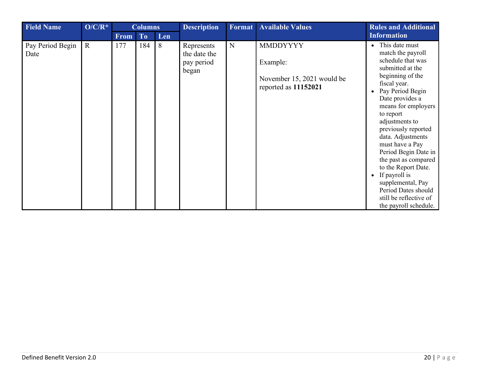<span id="page-19-0"></span>

| <b>Field Name</b>        | $O/C/R^*$   |             | <b>Columns</b> |     | <b>Description</b>                                |   | <b>Format</b> Available Values                                                    | <b>Rules and Additional</b>                                                                                                                                                                                                                                                                                                                                                                                                                                                                                |
|--------------------------|-------------|-------------|----------------|-----|---------------------------------------------------|---|-----------------------------------------------------------------------------------|------------------------------------------------------------------------------------------------------------------------------------------------------------------------------------------------------------------------------------------------------------------------------------------------------------------------------------------------------------------------------------------------------------------------------------------------------------------------------------------------------------|
|                          |             | <b>From</b> | To             | Len |                                                   |   |                                                                                   | <b>Information</b>                                                                                                                                                                                                                                                                                                                                                                                                                                                                                         |
| Pay Period Begin<br>Date | $\mathbf R$ | 177         | 184            | 8   | Represents<br>the date the<br>pay period<br>began | N | <b>MMDDYYYY</b><br>Example:<br>November 15, 2021 would be<br>reported as 11152021 | This date must<br>$\bullet$<br>match the payroll<br>schedule that was<br>submitted at the<br>beginning of the<br>fiscal year.<br>Pay Period Begin<br>$\bullet$<br>Date provides a<br>means for employers<br>to report<br>adjustments to<br>previously reported<br>data. Adjustments<br>must have a Pay<br>Period Begin Date in<br>the past as compared<br>to the Report Date.<br>If payroll is<br>$\bullet$<br>supplemental, Pay<br>Period Dates should<br>still be reflective of<br>the payroll schedule. |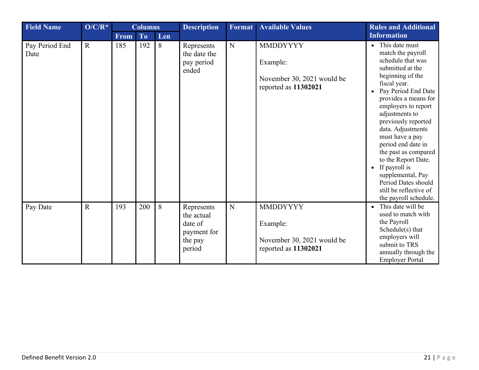<span id="page-20-0"></span>

| <b>Field Name</b>      | $O/C/R^*$   |             | <b>Columns</b> |     | <b>Description</b>                                                      | <b>Format</b> | <b>Available Values</b>                                                           | <b>Rules and Additional</b>                                                                                                                                                                                                                                                                                                                                                                                                                                    |
|------------------------|-------------|-------------|----------------|-----|-------------------------------------------------------------------------|---------------|-----------------------------------------------------------------------------------|----------------------------------------------------------------------------------------------------------------------------------------------------------------------------------------------------------------------------------------------------------------------------------------------------------------------------------------------------------------------------------------------------------------------------------------------------------------|
|                        |             | <b>From</b> | To             | Len |                                                                         |               |                                                                                   | <b>Information</b>                                                                                                                                                                                                                                                                                                                                                                                                                                             |
| Pay Period End<br>Date | $\mathbf R$ | 185         | 192            | 8   | Represents<br>the date the<br>pay period<br>ended                       | $\mathbf N$   | <b>MMDDYYYY</b><br>Example:<br>November 30, 2021 would be<br>reported as 11302021 | • This date must<br>match the payroll<br>schedule that was<br>submitted at the<br>beginning of the<br>fiscal year.<br>Pay Period End Date<br>provides a means for<br>employers to report<br>adjustments to<br>previously reported<br>data. Adjustments<br>must have a pay<br>period end date in<br>the past as compared<br>to the Report Date.<br>If payroll is<br>supplemental, Pay<br>Period Dates should<br>still be reflective of<br>the payroll schedule. |
| Pay Date               | $\mathbf R$ | 193         | 200            | 8   | Represents<br>the actual<br>date of<br>payment for<br>the pay<br>period | $\mathbf N$   | <b>MMDDYYYY</b><br>Example:<br>November 30, 2021 would be<br>reported as 11302021 | This date will be<br>used to match with<br>the Payroll<br>Schedule(s) that<br>employers will<br>submit to TRS<br>annually through the<br><b>Employer Portal</b>                                                                                                                                                                                                                                                                                                |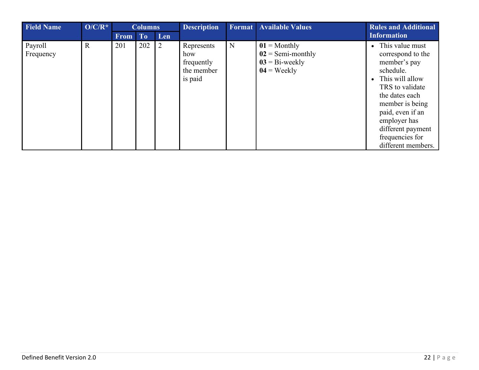| <b>Field Name</b>    | $O/C/R^*$    |             | <b>Columns</b> |     | <b>Description</b>                                       |   | <b>Format</b> Available Values                                              | <b>Rules and Additional</b>                                                                                                                                                                                                                      |
|----------------------|--------------|-------------|----------------|-----|----------------------------------------------------------|---|-----------------------------------------------------------------------------|--------------------------------------------------------------------------------------------------------------------------------------------------------------------------------------------------------------------------------------------------|
|                      |              | <b>From</b> | T <sub>o</sub> | Len |                                                          |   |                                                                             | <b>Information</b>                                                                                                                                                                                                                               |
| Payroll<br>Frequency | $\mathbf{R}$ | 201         | 202            | 2   | Represents<br>how<br>frequently<br>the member<br>is paid | N | $01$ = Monthly<br>$02 =$ Semi-monthly<br>$03 = Bi$ -weekly<br>$04$ = Weekly | • This value must<br>correspond to the<br>member's pay<br>schedule.<br>This will allow<br>TRS to validate<br>the dates each<br>member is being<br>paid, even if an<br>employer has<br>different payment<br>frequencies for<br>different members. |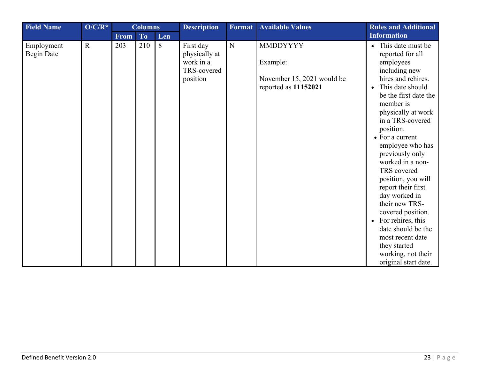<span id="page-22-0"></span>

| <b>Field Name</b>               | $O/C/R^*$   |             | <b>Columns</b> |     | <b>Description</b>                                                 | Format      | <b>Available Values</b>                                                           | <b>Rules and Additional</b>                                                                                                                                                                                                                                                                                                                                                                                                                                                                                                                                          |
|---------------------------------|-------------|-------------|----------------|-----|--------------------------------------------------------------------|-------------|-----------------------------------------------------------------------------------|----------------------------------------------------------------------------------------------------------------------------------------------------------------------------------------------------------------------------------------------------------------------------------------------------------------------------------------------------------------------------------------------------------------------------------------------------------------------------------------------------------------------------------------------------------------------|
|                                 |             | <b>From</b> | To             | Len |                                                                    |             |                                                                                   | <b>Information</b>                                                                                                                                                                                                                                                                                                                                                                                                                                                                                                                                                   |
| Employment<br><b>Begin Date</b> | $\mathbf R$ | 203         | 210            | 8   | First day<br>physically at<br>work in a<br>TRS-covered<br>position | $\mathbf N$ | <b>MMDDYYYY</b><br>Example:<br>November 15, 2021 would be<br>reported as 11152021 | • This date must be<br>reported for all<br>employees<br>including new<br>hires and rehires.<br>This date should<br>$\bullet$<br>be the first date the<br>member is<br>physically at work<br>in a TRS-covered<br>position.<br>• For a current<br>employee who has<br>previously only<br>worked in a non-<br>TRS covered<br>position, you will<br>report their first<br>day worked in<br>their new TRS-<br>covered position.<br>For rehires, this<br>$\bullet$<br>date should be the<br>most recent date<br>they started<br>working, not their<br>original start date. |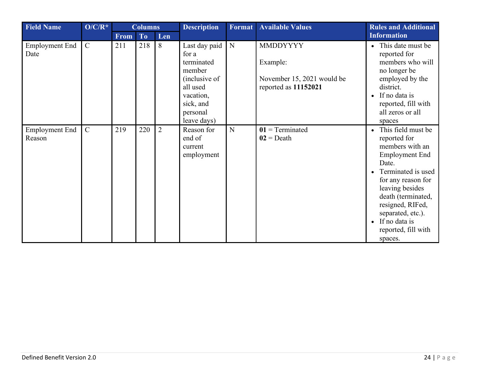<span id="page-23-0"></span>

| <b>Field Name</b>               | $O/C/R^*$     | <b>Columns</b> |     | <b>Description</b> | Format                                                                                                                           | <b>Available Values</b> | <b>Rules and Additional</b>                                                       |                                                                                                                                                                                                                                                                                        |
|---------------------------------|---------------|----------------|-----|--------------------|----------------------------------------------------------------------------------------------------------------------------------|-------------------------|-----------------------------------------------------------------------------------|----------------------------------------------------------------------------------------------------------------------------------------------------------------------------------------------------------------------------------------------------------------------------------------|
|                                 |               | From           | To  | Len                |                                                                                                                                  |                         |                                                                                   | <b>Information</b>                                                                                                                                                                                                                                                                     |
| <b>Employment End</b><br>Date   | $\mathcal{C}$ | 211            | 218 | 8                  | Last day paid<br>for a<br>terminated<br>member<br>(inclusive of<br>all used<br>vacation,<br>sick, and<br>personal<br>leave days) | N                       | <b>MMDDYYYY</b><br>Example:<br>November 15, 2021 would be<br>reported as 11152021 | • This date must be<br>reported for<br>members who will<br>no longer be<br>employed by the<br>district.<br>$\bullet$ If no data is<br>reported, fill with<br>all zeros or all<br>spaces                                                                                                |
| <b>Employment End</b><br>Reason | $\mathcal{C}$ | 219            | 220 | 2                  | Reason for<br>end of<br>current<br>employment                                                                                    | N                       | $01$ = Terminated<br>$02 = \text{Death}$                                          | • This field must be<br>reported for<br>members with an<br><b>Employment End</b><br>Date.<br>• Terminated is used<br>for any reason for<br>leaving besides<br>death (terminated,<br>resigned, RIFed,<br>separated, etc.).<br>$\bullet$ If no data is<br>reported, fill with<br>spaces. |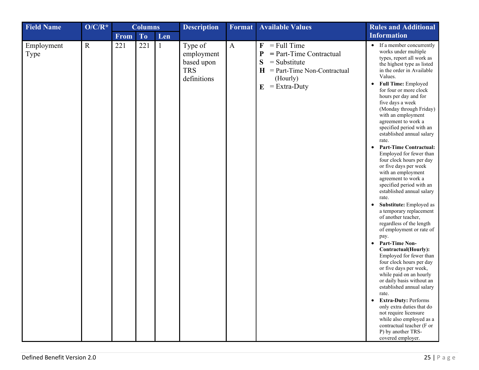<span id="page-24-0"></span>

| <b>Field Name</b>  | $O/C/R^*$   |      | <b>Columns</b> |              | <b>Description</b>                                               | <b>Format</b> | <b>Available Values</b>                                                                                                                                                        | <b>Rules and Additional</b>                                                                                                                                                                                                                                                                                                                                                                                                                                                                                                                                                                                                                                                                                                                                                                                                                                                                                                                                                                                                                                                                                                                                                                                                      |
|--------------------|-------------|------|----------------|--------------|------------------------------------------------------------------|---------------|--------------------------------------------------------------------------------------------------------------------------------------------------------------------------------|----------------------------------------------------------------------------------------------------------------------------------------------------------------------------------------------------------------------------------------------------------------------------------------------------------------------------------------------------------------------------------------------------------------------------------------------------------------------------------------------------------------------------------------------------------------------------------------------------------------------------------------------------------------------------------------------------------------------------------------------------------------------------------------------------------------------------------------------------------------------------------------------------------------------------------------------------------------------------------------------------------------------------------------------------------------------------------------------------------------------------------------------------------------------------------------------------------------------------------|
|                    |             | From | To             | Len          |                                                                  |               |                                                                                                                                                                                | <b>Information</b>                                                                                                                                                                                                                                                                                                                                                                                                                                                                                                                                                                                                                                                                                                                                                                                                                                                                                                                                                                                                                                                                                                                                                                                                               |
| Employment<br>Type | $\mathbf R$ | 221  | 221            | $\mathbf{1}$ | Type of<br>employment<br>based upon<br><b>TRS</b><br>definitions | $\mathbf{A}$  | $=$ Full Time<br>$\mathbf F$<br>$=$ Part-Time Contractual<br>$\mathbf P$<br>S<br>$=$ Substitute<br>$=$ Part-Time Non-Contractual<br>$\bf H$<br>(Hourly)<br>$=$ Extra-Duty<br>E | • If a member concurrently<br>works under multiple<br>types, report all work as<br>the highest type as listed<br>in the order in Available<br>Values.<br>Full Time: Employed<br>$\bullet$<br>for four or more clock<br>hours per day and for<br>five days a week<br>(Monday through Friday)<br>with an employment<br>agreement to work a<br>specified period with an<br>established annual salary<br>rate.<br><b>Part-Time Contractual:</b><br>$\bullet$<br>Employed for fewer than<br>four clock hours per day<br>or five days per week<br>with an employment<br>agreement to work a<br>specified period with an<br>established annual salary<br>rate.<br>Substitute: Employed as<br>$\bullet$<br>a temporary replacement<br>of another teacher,<br>regardless of the length<br>of employment or rate of<br>pay.<br>• Part-Time Non-<br>Contractual(Hourly):<br>Employed for fewer than<br>four clock hours per day<br>or five days per week,<br>while paid on an hourly<br>or daily basis without an<br>established annual salary<br>rate.<br>• Extra-Duty: Performs<br>only extra duties that do<br>not require licensure<br>while also employed as a<br>contractual teacher (F or<br>P) by another TRS-<br>covered employer. |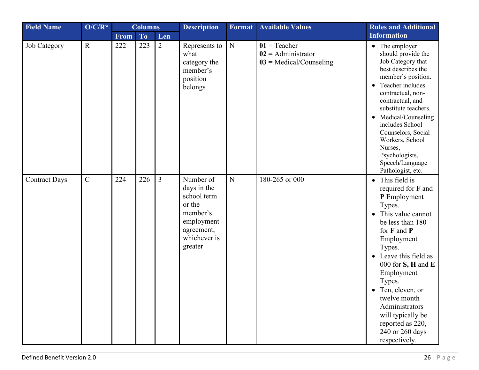<span id="page-25-1"></span><span id="page-25-0"></span>

| <b>Field Name</b>    | $O/C/R^*$   |      | <b>Columns</b> |                | <b>Description</b>                                                                                                   | Format      | <b>Available Values</b><br><b>Rules and Additional</b>              |                                                                                                                                                                                                                                                                                                                                                                         |
|----------------------|-------------|------|----------------|----------------|----------------------------------------------------------------------------------------------------------------------|-------------|---------------------------------------------------------------------|-------------------------------------------------------------------------------------------------------------------------------------------------------------------------------------------------------------------------------------------------------------------------------------------------------------------------------------------------------------------------|
|                      |             | From | To             | Len            |                                                                                                                      |             |                                                                     | <b>Information</b>                                                                                                                                                                                                                                                                                                                                                      |
| Job Category         | $\mathbf R$ | 222  | 223            | $\overline{2}$ | Represents to<br>what<br>category the<br>member's<br>position<br>belongs                                             | ${\bf N}$   | $01$ = Teacher<br>$02 =$ Administrator<br>$03$ = Medical/Counseling | • The employer<br>should provide the<br>Job Category that<br>best describes the<br>member's position.<br>Teacher includes<br>contractual, non-<br>contractual, and<br>substitute teachers.<br>Medical/Counseling<br>$\bullet$<br>includes School<br>Counselors, Social<br>Workers, School<br>Nurses,<br>Psychologists,<br>Speech/Language<br>Pathologist, etc.          |
| <b>Contract Days</b> | $\mathbf C$ | 224  | 226            | $\overline{3}$ | Number of<br>days in the<br>school term<br>or the<br>member's<br>employment<br>agreement,<br>whichever is<br>greater | $\mathbf N$ | 180-265 or 000                                                      | • This field is<br>required for F and<br>P Employment<br>Types.<br>This value cannot<br>be less than 180<br>for F and P<br>Employment<br>Types.<br>Leave this field as<br>000 for $S$ , $H$ and $E$<br>Employment<br>Types.<br>$\bullet$ Ten, eleven, or<br>twelve month<br>Administrators<br>will typically be<br>reported as 220,<br>240 or 260 days<br>respectively. |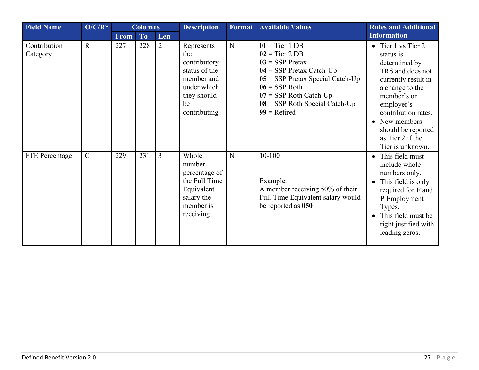<span id="page-26-0"></span>

| <b>Field Name</b>        | $O/C/R^*$      | <b>Columns</b> |     | <b>Description</b> | Format                                                                                                               | <b>Available Values</b> | <b>Rules and Additional</b>                                                                                                                                                                                                        |                                                                                                                                                                                                                                                   |
|--------------------------|----------------|----------------|-----|--------------------|----------------------------------------------------------------------------------------------------------------------|-------------------------|------------------------------------------------------------------------------------------------------------------------------------------------------------------------------------------------------------------------------------|---------------------------------------------------------------------------------------------------------------------------------------------------------------------------------------------------------------------------------------------------|
|                          |                | <b>From</b>    | To  | Len                |                                                                                                                      |                         |                                                                                                                                                                                                                                    | <b>Information</b>                                                                                                                                                                                                                                |
| Contribution<br>Category | $\mathbf R$    | 227            | 228 | 2                  | Represents<br>the<br>contributory<br>status of the<br>member and<br>under which<br>they should<br>be<br>contributing | N                       | $01 =$ Tier 1 DB<br>$02 =$ Tier 2 DB<br>$03 =$ SSP Pretax<br>$04 =$ SSP Pretax Catch-Up<br>$05 =$ SSP Pretax Special Catch-Up<br>$06 =$ SSP Roth<br>$07 =$ SSP Roth Catch-Up<br>$08 =$ SSP Roth Special Catch-Up<br>$99$ = Retired | • Tier 1 vs Tier 2<br>status is<br>determined by<br>TRS and does not<br>currently result in<br>a change to the<br>member's or<br>employer's<br>contribution rates.<br>• New members<br>should be reported<br>as Tier 2 if the<br>Tier is unknown. |
| FTE Percentage           | $\overline{C}$ | 229            | 231 | $\overline{3}$     | Whole<br>number<br>percentage of<br>the Full Time<br>Equivalent<br>salary the<br>member is<br>receiving              | N                       | $10 - 100$<br>Example:<br>A member receiving 50% of their<br>Full Time Equivalent salary would<br>be reported as 050                                                                                                               | This field must<br>include whole<br>numbers only.<br>This field is only<br>required for F and<br>P Employment<br>Types.<br>This field must be<br>right justified with<br>leading zeros.                                                           |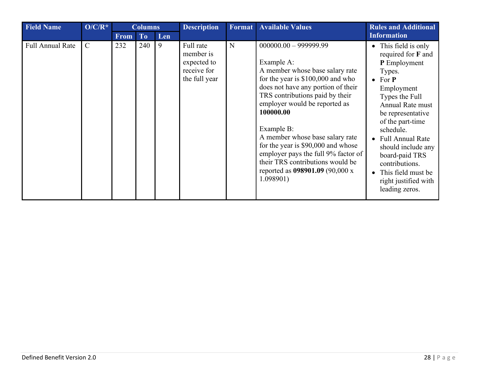| <b>Field Name</b>       | $\overline{O/C/R^*}$ |             | <b>Columns</b> |     | <b>Description</b>                                                    | Format | <b>Available Values</b>                                                                                                                                                                                                                                                                                                                                                                                                                                 | <b>Rules and Additional</b>                                                                                                                                                                                                                                                                                                                           |
|-------------------------|----------------------|-------------|----------------|-----|-----------------------------------------------------------------------|--------|---------------------------------------------------------------------------------------------------------------------------------------------------------------------------------------------------------------------------------------------------------------------------------------------------------------------------------------------------------------------------------------------------------------------------------------------------------|-------------------------------------------------------------------------------------------------------------------------------------------------------------------------------------------------------------------------------------------------------------------------------------------------------------------------------------------------------|
|                         |                      | <b>From</b> | T <sub>o</sub> | Len |                                                                       |        |                                                                                                                                                                                                                                                                                                                                                                                                                                                         | <b>Information</b>                                                                                                                                                                                                                                                                                                                                    |
| <b>Full Annual Rate</b> | $\mathcal{C}$        | 232         | 240            | 9   | Full rate<br>member is<br>expected to<br>receive for<br>the full year | N      | $000000.00 - 999999.99$<br>Example A:<br>A member whose base salary rate<br>for the year is $$100,000$ and who<br>does not have any portion of their<br>TRS contributions paid by their<br>employer would be reported as<br>100000.00<br>Example B:<br>A member whose base salary rate<br>for the year is \$90,000 and whose<br>employer pays the full 9% factor of<br>their TRS contributions would be<br>reported as 098901.09 (90,000 x<br>1.098901) | • This field is only<br>required for F and<br>P Employment<br>Types.<br>$\bullet$ For $P$<br>Employment<br>Types the Full<br>Annual Rate must<br>be representative<br>of the part-time<br>schedule.<br>• Full Annual Rate<br>should include any<br>board-paid TRS<br>contributions.<br>• This field must be<br>right justified with<br>leading zeros. |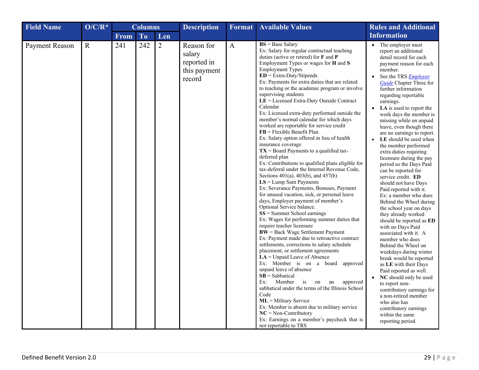<span id="page-28-0"></span>

| <b>Field Name</b>     | $O/C/R^*$   | <b>Columns</b> |                | <b>Description</b> | <b>Format</b>                                                 | <b>Available Values</b> | <b>Rules and Additional</b>                                                                                                                                                                                                                                                                                                                                                                                                                                                                                                                                                                                                                                                                                                                                                                                                                                                                                                                                                                                                                                                                                                                                                                                                                                                                                                                                                                                                                                                                                                                                                                                                                                                                                                                                                                   |                                                                                                                                                                                                                                                                                                                                                                                                                                                                                                                                                                                                                                                                                                                                                                                                                                                                                                                                                                                                                                                                                                                                                                                   |
|-----------------------|-------------|----------------|----------------|--------------------|---------------------------------------------------------------|-------------------------|-----------------------------------------------------------------------------------------------------------------------------------------------------------------------------------------------------------------------------------------------------------------------------------------------------------------------------------------------------------------------------------------------------------------------------------------------------------------------------------------------------------------------------------------------------------------------------------------------------------------------------------------------------------------------------------------------------------------------------------------------------------------------------------------------------------------------------------------------------------------------------------------------------------------------------------------------------------------------------------------------------------------------------------------------------------------------------------------------------------------------------------------------------------------------------------------------------------------------------------------------------------------------------------------------------------------------------------------------------------------------------------------------------------------------------------------------------------------------------------------------------------------------------------------------------------------------------------------------------------------------------------------------------------------------------------------------------------------------------------------------------------------------------------------------|-----------------------------------------------------------------------------------------------------------------------------------------------------------------------------------------------------------------------------------------------------------------------------------------------------------------------------------------------------------------------------------------------------------------------------------------------------------------------------------------------------------------------------------------------------------------------------------------------------------------------------------------------------------------------------------------------------------------------------------------------------------------------------------------------------------------------------------------------------------------------------------------------------------------------------------------------------------------------------------------------------------------------------------------------------------------------------------------------------------------------------------------------------------------------------------|
|                       |             | <b>From</b>    | T <sub>o</sub> | Len                |                                                               |                         |                                                                                                                                                                                                                                                                                                                                                                                                                                                                                                                                                                                                                                                                                                                                                                                                                                                                                                                                                                                                                                                                                                                                                                                                                                                                                                                                                                                                                                                                                                                                                                                                                                                                                                                                                                                               | <b>Information</b>                                                                                                                                                                                                                                                                                                                                                                                                                                                                                                                                                                                                                                                                                                                                                                                                                                                                                                                                                                                                                                                                                                                                                                |
| <b>Payment Reason</b> | $\mathbf R$ | 241            | 242            | $\overline{2}$     | Reason for<br>salary<br>reported in<br>this payment<br>record | $\mathbf{A}$            | $BS = Base$ Salary<br>Ex: Salary for regular contractual teaching<br>duties (active or retired) for F and P<br>Employment Types or wages for H and S<br><b>Employment Types</b><br>$ED = Extra-Duty/Stipends$<br>Ex: Payments for extra duties that are related<br>to teaching or the academic program or involve<br>supervising students<br>$LE = Lieensed$ Extra-Duty Outside Contract<br>Calendar<br>Ex: Licensed extra-duty performed outside the<br>member's normal calendar for which days<br>worked are reportable for service credit<br>$\mathbf{FB} = \text{Flexible}$ Benefit Plan<br>Ex: Salary option offered in lieu of health<br>insurance coverage<br>$TX =$ Board Payments to a qualified tax-<br>deferred plan<br>Ex: Contributions to qualified plans eligible for<br>tax-deferral under the Internal Revenue Code,<br>Sections 401(a), 403(b), and 457(b)<br>$LS = Lump$ Sum Payments<br>Ex: Severance Payments, Bonuses, Payment<br>for unused vacation, sick, or personal leave<br>days, Employer payment of member's<br>Optional Service balance.<br>$SS =$ Summer School earnings<br>Ex: Wages for performing summer duties that<br>require teacher licensure<br>$BW = Back Wage Settlement Payment$<br>Ex: Payment made due to retroactive contract<br>settlements, corrections to salary schedule<br>placement, or settlement agreements<br>$LA =$ Unpaid Leave of Absence<br>Ex: Member is on a board approved<br>unpaid leave of absence<br>$SB =$ Sabbatical<br>Ex:<br>Member<br>an<br>approved<br>$\frac{1}{1}$<br>on<br>sabbatical under the terms of the Illinois School<br>Code<br>$ML =$ Military Service<br>Ex: Member is absent due to military service<br>$NC = Non-Contributory$<br>Ex: Earnings on a member's paycheck that is<br>not reportable to TRS | • The employer must<br>report an additional<br>detail record for each<br>payment reason for each<br>member.<br>See the TRS <i>Employer</i><br>$\bullet$<br><b>Guide</b> Chapter Three for<br>further information<br>regarding reportable<br>earnings.<br>LA is used to report the<br>work days the member is<br>missing while on unpaid<br>leave, even though there<br>are no earnings to report.<br>LE should be used when<br>$\bullet$<br>the member performed<br>extra duties requiring<br>licensure during the pay<br>period so the Days Paid<br>can be reported for<br>service credit. ED<br>should not have Days<br>Paid reported with it.<br>Ex: a member who does<br>Behind the Wheel during<br>the school year on days<br>they already worked<br>should be reported as ED<br>with no Days Paid<br>associated with it. A<br>member who does<br>Behind the Wheel on<br>weekdays during winter<br>break would be reported<br>as LE with their Days<br>Paid reported as well.<br>NC should only be used<br>$\bullet$<br>to report non-<br>contributory earnings for<br>a non-retired member<br>who also has<br>contributory earnings<br>within the same<br>reporting period. |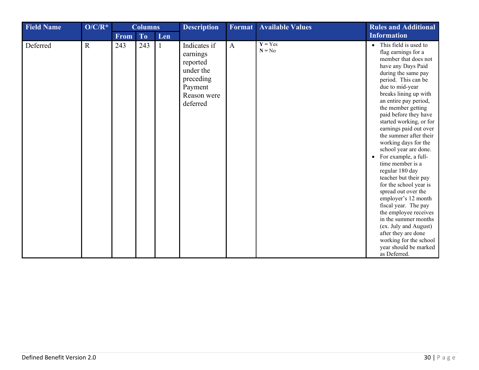<span id="page-29-0"></span>

| <b>Field Name</b> | $O/C/R^*$   | <b>Columns</b> |                |     | <b>Description</b>                                                                                   | Format       | <b>Available Values</b> | <b>Rules and Additional</b>                                                                                                                                                                                                                                                                                                                                                                                                                                                                                                                                                                                                                                                                                                                                             |
|-------------------|-------------|----------------|----------------|-----|------------------------------------------------------------------------------------------------------|--------------|-------------------------|-------------------------------------------------------------------------------------------------------------------------------------------------------------------------------------------------------------------------------------------------------------------------------------------------------------------------------------------------------------------------------------------------------------------------------------------------------------------------------------------------------------------------------------------------------------------------------------------------------------------------------------------------------------------------------------------------------------------------------------------------------------------------|
|                   |             | From           | T <sub>o</sub> | Len |                                                                                                      |              |                         | <b>Information</b>                                                                                                                                                                                                                                                                                                                                                                                                                                                                                                                                                                                                                                                                                                                                                      |
| Deferred          | $\mathbf R$ | 243            | 243            |     | Indicates if<br>earnings<br>reported<br>under the<br>preceding<br>Payment<br>Reason were<br>deferred | $\mathbf{A}$ | $Y = Yes$<br>$N = No$   | • This field is used to<br>flag earnings for a<br>member that does not<br>have any Days Paid<br>during the same pay<br>period. This can be<br>due to mid-year<br>breaks lining up with<br>an entire pay period,<br>the member getting<br>paid before they have<br>started working, or for<br>earnings paid out over<br>the summer after their<br>working days for the<br>school year are done.<br>For example, a full-<br>$\bullet$<br>time member is a<br>regular 180 day<br>teacher but their pay<br>for the school year is<br>spread out over the<br>employer's 12 month<br>fiscal year. The pay<br>the employee receives<br>in the summer months<br>(ex. July and August)<br>after they are done<br>working for the school<br>year should be marked<br>as Deferred. |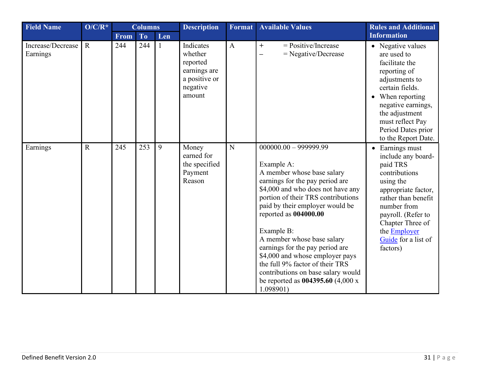<span id="page-30-0"></span>

| <b>Field Name</b>             | $O/C/R^*$   | <b>Columns</b> |           | <b>Description</b> | <b>Available Values</b><br>Format                                                       |              | <b>Rules and Additional</b>                                                                                                                                                                                                                                                                                                                                                                                                                                                                 |                                                                                                                                                                                                                                           |
|-------------------------------|-------------|----------------|-----------|--------------------|-----------------------------------------------------------------------------------------|--------------|---------------------------------------------------------------------------------------------------------------------------------------------------------------------------------------------------------------------------------------------------------------------------------------------------------------------------------------------------------------------------------------------------------------------------------------------------------------------------------------------|-------------------------------------------------------------------------------------------------------------------------------------------------------------------------------------------------------------------------------------------|
|                               |             | <b>From</b>    | <b>To</b> | Len                |                                                                                         |              |                                                                                                                                                                                                                                                                                                                                                                                                                                                                                             | <b>Information</b>                                                                                                                                                                                                                        |
| Increase/Decrease<br>Earnings | $\mathbf R$ | 244            | 244       |                    | Indicates<br>whether<br>reported<br>earnings are<br>a positive or<br>negative<br>amount | $\mathbf{A}$ | $=$ Positive/Increase<br>$+$<br>$=$ Negative/Decrease<br>—                                                                                                                                                                                                                                                                                                                                                                                                                                  | • Negative values<br>are used to<br>facilitate the<br>reporting of<br>adjustments to<br>certain fields.<br>• When reporting<br>negative earnings,<br>the adjustment<br>must reflect Pay<br>Period Dates prior<br>to the Report Date.      |
| Earnings                      | $\mathbf R$ | 245            | 253       | 9                  | Money<br>earned for<br>the specified<br>Payment<br>Reason                               | N            | $000000.00 - 999999.99$<br>Example A:<br>A member whose base salary<br>earnings for the pay period are<br>\$4,000 and who does not have any<br>portion of their TRS contributions<br>paid by their employer would be<br>reported as 004000.00<br>Example B:<br>A member whose base salary<br>earnings for the pay period are<br>\$4,000 and whose employer pays<br>the full 9% factor of their TRS<br>contributions on base salary would<br>be reported as $004395.60$ (4,000 x<br>1.098901 | • Earnings must<br>include any board-<br>paid TRS<br>contributions<br>using the<br>appropriate factor,<br>rather than benefit<br>number from<br>payroll. (Refer to<br>Chapter Three of<br>the Employer<br>Guide for a list of<br>factors) |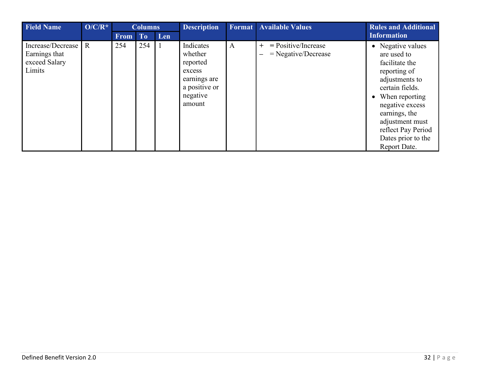| <b>Field Name</b>                                             | $O/C/R^*$      | <b>Columns</b> |     | <b>Description</b> |                                                                                                   | <b>Format</b> Available Values | <b>Rules and Additional</b>                                |                                                                                                                                                                                                                                                |
|---------------------------------------------------------------|----------------|----------------|-----|--------------------|---------------------------------------------------------------------------------------------------|--------------------------------|------------------------------------------------------------|------------------------------------------------------------------------------------------------------------------------------------------------------------------------------------------------------------------------------------------------|
|                                                               |                | <b>From</b>    | To/ | Len                |                                                                                                   |                                |                                                            | <b>Information</b>                                                                                                                                                                                                                             |
| Increase/Decrease<br>Earnings that<br>exceed Salary<br>Limits | $\overline{R}$ | 254            | 254 |                    | Indicates<br>whether<br>reported<br>excess<br>earnings are<br>a positive or<br>negative<br>amount | $\mathbf{A}$                   | $=$ Positive/Increase<br>$+$<br>$=$ Negative/Decrease<br>— | • Negative values<br>are used to<br>facilitate the<br>reporting of<br>adjustments to<br>certain fields.<br>• When reporting<br>negative excess<br>earnings, the<br>adjustment must<br>reflect Pay Period<br>Dates prior to the<br>Report Date. |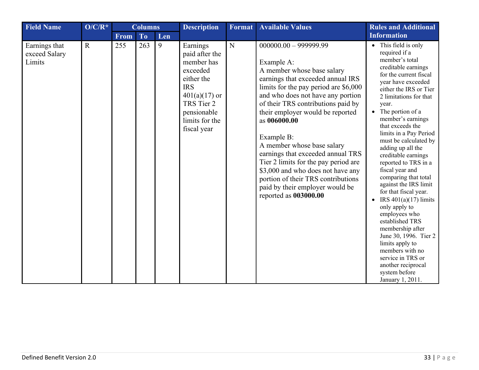<span id="page-32-0"></span>

| <b>Field Name</b>                        | $O/C/R^*$   | <b>Columns</b> |     |     | <b>Description</b>                                                                                                                                                | Format | <b>Available Values</b>                                                                                                                                                                                                                                                                                                                                                                                                                                                                                                                          | <b>Rules and Additional</b>                                                                                                                                                                                                                                                                                                                                                                                                                                                                                                                                                                                                                                                                                                                  |
|------------------------------------------|-------------|----------------|-----|-----|-------------------------------------------------------------------------------------------------------------------------------------------------------------------|--------|--------------------------------------------------------------------------------------------------------------------------------------------------------------------------------------------------------------------------------------------------------------------------------------------------------------------------------------------------------------------------------------------------------------------------------------------------------------------------------------------------------------------------------------------------|----------------------------------------------------------------------------------------------------------------------------------------------------------------------------------------------------------------------------------------------------------------------------------------------------------------------------------------------------------------------------------------------------------------------------------------------------------------------------------------------------------------------------------------------------------------------------------------------------------------------------------------------------------------------------------------------------------------------------------------------|
|                                          |             | <b>From</b>    | To  | Len |                                                                                                                                                                   |        |                                                                                                                                                                                                                                                                                                                                                                                                                                                                                                                                                  | <b>Information</b>                                                                                                                                                                                                                                                                                                                                                                                                                                                                                                                                                                                                                                                                                                                           |
| Earnings that<br>exceed Salary<br>Limits | $\mathbf R$ | 255            | 263 | 9   | Earnings<br>paid after the<br>member has<br>exceeded<br>either the<br><b>IRS</b><br>$401(a)(17)$ or<br>TRS Tier 2<br>pensionable<br>limits for the<br>fiscal year | N      | $000000.00 - 999999.99$<br>Example A:<br>A member whose base salary<br>earnings that exceeded annual IRS<br>limits for the pay period are \$6,000<br>and who does not have any portion<br>of their TRS contributions paid by<br>their employer would be reported<br>as 006000.00<br>Example B:<br>A member whose base salary<br>earnings that exceeded annual TRS<br>Tier 2 limits for the pay period are<br>\$3,000 and who does not have any<br>portion of their TRS contributions<br>paid by their employer would be<br>reported as 003000.00 | • This field is only<br>required if a<br>member's total<br>creditable earnings<br>for the current fiscal<br>year have exceeded<br>either the IRS or Tier<br>2 limitations for that<br>year.<br>The portion of a<br>member's earnings<br>that exceeds the<br>limits in a Pay Period<br>must be calculated by<br>adding up all the<br>creditable earnings<br>reported to TRS in a<br>fiscal year and<br>comparing that total<br>against the IRS limit<br>for that fiscal year.<br>IRS $401(a)(17)$ limits<br>$\bullet$<br>only apply to<br>employees who<br>established TRS<br>membership after<br>June 30, 1996. Tier 2<br>limits apply to<br>members with no<br>service in TRS or<br>another reciprocal<br>system before<br>January 1, 2011. |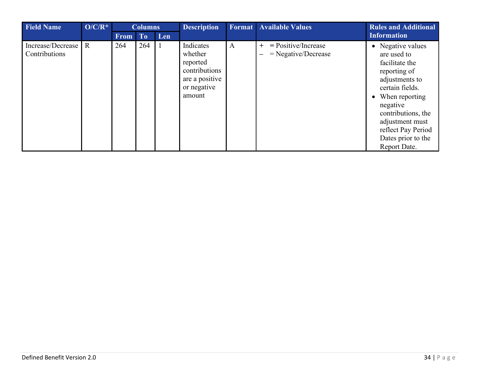| <b>Field Name</b>                    | $O/C/R^*$ |             | <b>Columns</b> |     | <b>Description</b>                                                                           |              | <b>Format</b> Available Values                                                    | <b>Rules and Additional</b>                                                                                                                                                                                                                  |
|--------------------------------------|-----------|-------------|----------------|-----|----------------------------------------------------------------------------------------------|--------------|-----------------------------------------------------------------------------------|----------------------------------------------------------------------------------------------------------------------------------------------------------------------------------------------------------------------------------------------|
|                                      |           | <b>From</b> | To             | Len |                                                                                              |              |                                                                                   | Information                                                                                                                                                                                                                                  |
| Increase/Decrease R<br>Contributions |           | 264         | 264            |     | Indicates<br>whether<br>reported<br>contributions<br>are a positive<br>or negative<br>amount | $\mathbf{A}$ | $=$ Positive/Increase<br>$+$<br>$=$ Negative/Decrease<br>$\overline{\phantom{m}}$ | • Negative values<br>are used to<br>facilitate the<br>reporting of<br>adjustments to<br>certain fields.<br>• When reporting<br>negative<br>contributions, the<br>adjustment must<br>reflect Pay Period<br>Dates prior to the<br>Report Date. |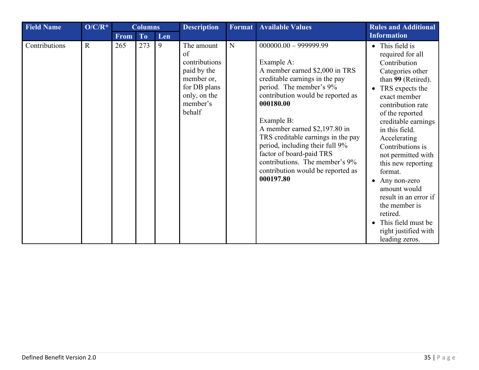| <b>Field Name</b> | $O/C/R^*$   | <b>Columns</b> |     | <b>Description</b> | <b>Format</b>                                                                                                        | <b>Available Values</b> | <b>Rules and Additional</b>                                                                                                                                                                                                                                                                                                                                                                                                    |                                                                                                                                                                                                                                                                                                                                                                                                                                                                                              |
|-------------------|-------------|----------------|-----|--------------------|----------------------------------------------------------------------------------------------------------------------|-------------------------|--------------------------------------------------------------------------------------------------------------------------------------------------------------------------------------------------------------------------------------------------------------------------------------------------------------------------------------------------------------------------------------------------------------------------------|----------------------------------------------------------------------------------------------------------------------------------------------------------------------------------------------------------------------------------------------------------------------------------------------------------------------------------------------------------------------------------------------------------------------------------------------------------------------------------------------|
|                   |             | <b>From</b>    | To  | Len                |                                                                                                                      |                         |                                                                                                                                                                                                                                                                                                                                                                                                                                | <b>Information</b>                                                                                                                                                                                                                                                                                                                                                                                                                                                                           |
| Contributions     | $\mathbf R$ | 265            | 273 | 9                  | The amount<br>of<br>contributions<br>paid by the<br>member or,<br>for DB plans<br>only, on the<br>member's<br>behalf | N                       | $000000.00 - 999999.99$<br>Example A:<br>A member earned \$2,000 in TRS<br>creditable earnings in the pay<br>period. The member's 9%<br>contribution would be reported as<br>000180.00<br>Example B:<br>A member earned \$2,197.80 in<br>TRS creditable earnings in the pay<br>period, including their full 9%<br>factor of board-paid TRS<br>contributions. The member's 9%<br>contribution would be reported as<br>000197.80 | • This field is<br>required for all<br>Contribution<br>Categories other<br>than 99 (Retired).<br>TRS expects the<br>$\bullet$<br>exact member<br>contribution rate<br>of the reported<br>creditable earnings<br>in this field.<br>Accelerating<br>Contributions is<br>not permitted with<br>this new reporting<br>format.<br>Any non-zero<br>$\bullet$<br>amount would<br>result in an error if<br>the member is<br>retired.<br>This field must be<br>right justified with<br>leading zeros. |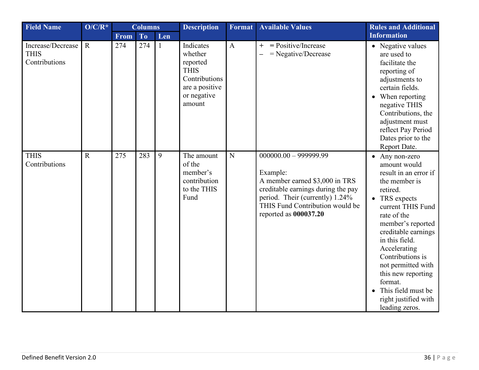| <b>Field Name</b>                                 | $O/C/R^*$   |      | <b>Columns</b> |              | <b>Description</b>                                                                                          | <b>Format</b> | <b>Available Values</b>                                                                                                                                                                                    | <b>Rules and Additional</b>                                                                                                                                                                                                                                                                                                                                        |
|---------------------------------------------------|-------------|------|----------------|--------------|-------------------------------------------------------------------------------------------------------------|---------------|------------------------------------------------------------------------------------------------------------------------------------------------------------------------------------------------------------|--------------------------------------------------------------------------------------------------------------------------------------------------------------------------------------------------------------------------------------------------------------------------------------------------------------------------------------------------------------------|
|                                                   |             | From | <b>To</b>      | Len          |                                                                                                             |               |                                                                                                                                                                                                            | <b>Information</b>                                                                                                                                                                                                                                                                                                                                                 |
| Increase/Decrease<br><b>THIS</b><br>Contributions | $\mathbf R$ | 274  | 274            | $\mathbf{1}$ | Indicates<br>whether<br>reported<br><b>THIS</b><br>Contributions<br>are a positive<br>or negative<br>amount | $\mathbf{A}$  | $=$ Positive/Increase<br>$+$<br>$=$ Negative/Decrease                                                                                                                                                      | • Negative values<br>are used to<br>facilitate the<br>reporting of<br>adjustments to<br>certain fields.<br>When reporting<br>negative THIS<br>Contributions, the<br>adjustment must<br>reflect Pay Period<br>Dates prior to the<br>Report Date.                                                                                                                    |
| <b>THIS</b><br>Contributions                      | $\mathbf R$ | 275  | 283            | 9            | The amount<br>of the<br>member's<br>contribution<br>to the THIS<br>Fund                                     | ${\bf N}$     | $000000.00 - 999999.99$<br>Example:<br>A member earned \$3,000 in TRS<br>creditable earnings during the pay<br>period. Their (currently) 1.24%<br>THIS Fund Contribution would be<br>reported as 000037.20 | • Any non-zero<br>amount would<br>result in an error if<br>the member is<br>retired.<br>• TRS expects<br>current THIS Fund<br>rate of the<br>member's reported<br>creditable earnings<br>in this field.<br>Accelerating<br>Contributions is<br>not permitted with<br>this new reporting<br>format.<br>This field must be<br>right justified with<br>leading zeros. |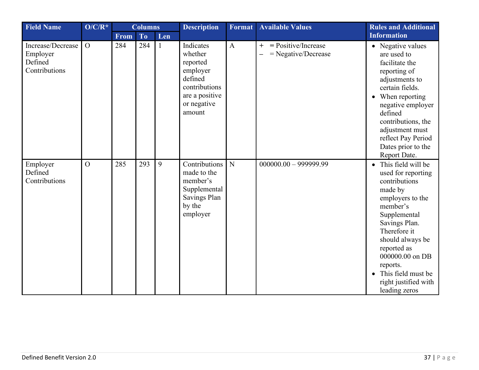<span id="page-36-0"></span>

| <b>Field Name</b>                                         | $O/C/R^*$      | <b>Columns</b> |           | <b>Description</b> | Format                                                                                                              | <b>Available Values</b> | <b>Rules and Additional</b>                           |                                                                                                                                                                                                                                                                                          |
|-----------------------------------------------------------|----------------|----------------|-----------|--------------------|---------------------------------------------------------------------------------------------------------------------|-------------------------|-------------------------------------------------------|------------------------------------------------------------------------------------------------------------------------------------------------------------------------------------------------------------------------------------------------------------------------------------------|
|                                                           |                | <b>From</b>    | <b>To</b> | Len                |                                                                                                                     |                         |                                                       | <b>Information</b>                                                                                                                                                                                                                                                                       |
| Increase/Decrease<br>Employer<br>Defined<br>Contributions | $\overline{O}$ | 284            | 284       | $\mathbf{1}$       | Indicates<br>whether<br>reported<br>employer<br>defined<br>contributions<br>are a positive<br>or negative<br>amount | $\mathbf{A}$            | $=$ Positive/Increase<br>$+$<br>$=$ Negative/Decrease | • Negative values<br>are used to<br>facilitate the<br>reporting of<br>adjustments to<br>certain fields.<br>When reporting<br>negative employer<br>defined<br>contributions, the<br>adjustment must<br>reflect Pay Period<br>Dates prior to the<br>Report Date.                           |
| Employer<br>Defined<br>Contributions                      | $\overline{O}$ | 285            | 293       | 9                  | Contributions<br>made to the<br>member's<br>Supplemental<br>Savings Plan<br>by the<br>employer                      | N                       | $000000.00 - 999999.99$                               | • This field will be<br>used for reporting<br>contributions<br>made by<br>employers to the<br>member's<br>Supplemental<br>Savings Plan.<br>Therefore it<br>should always be<br>reported as<br>000000.00 on DB<br>reports.<br>This field must be<br>right justified with<br>leading zeros |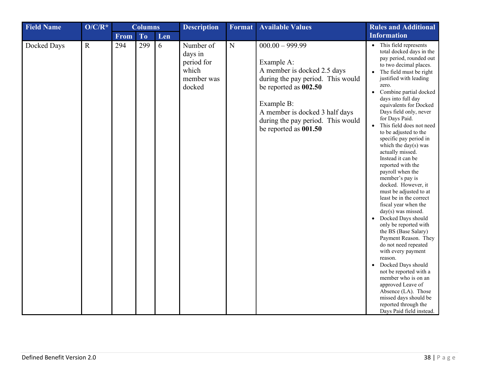<span id="page-37-0"></span>

| <b>Field Name</b> | $O/C/R^*$   |      | <b>Columns</b> |     | <b>Description</b>                                                  | Format         | <b>Available Values</b>                                                                                                                                                                                                                    | <b>Rules and Additional</b>                                                                                                                                                                                                                                                                                                                                                                                                                                                                                                                                                                                                                                                                                                                                                                                                                                                                                                                                                                                                                                   |
|-------------------|-------------|------|----------------|-----|---------------------------------------------------------------------|----------------|--------------------------------------------------------------------------------------------------------------------------------------------------------------------------------------------------------------------------------------------|---------------------------------------------------------------------------------------------------------------------------------------------------------------------------------------------------------------------------------------------------------------------------------------------------------------------------------------------------------------------------------------------------------------------------------------------------------------------------------------------------------------------------------------------------------------------------------------------------------------------------------------------------------------------------------------------------------------------------------------------------------------------------------------------------------------------------------------------------------------------------------------------------------------------------------------------------------------------------------------------------------------------------------------------------------------|
|                   |             | From | To             | Len |                                                                     |                |                                                                                                                                                                                                                                            | <b>Information</b>                                                                                                                                                                                                                                                                                                                                                                                                                                                                                                                                                                                                                                                                                                                                                                                                                                                                                                                                                                                                                                            |
| Docked Days       | $\mathbf R$ | 294  | 299            | 6   | Number of<br>days in<br>period for<br>which<br>member was<br>docked | $\overline{N}$ | $000.00 - 999.99$<br>Example A:<br>A member is docked 2.5 days<br>during the pay period. This would<br>be reported as 002.50<br>Example B:<br>A member is docked 3 half days<br>during the pay period. This would<br>be reported as 001.50 | This field represents<br>$\bullet$<br>total docked days in the<br>pay period, rounded out<br>to two decimal places.<br>The field must be right<br>$\bullet$<br>justified with leading<br>zero.<br>Combine partial docked<br>$\bullet$<br>days into full day<br>equivalents for Docked<br>Days field only, never<br>for Days Paid.<br>This field does not need<br>$\bullet$<br>to be adjusted to the<br>specific pay period in<br>which the day( $s$ ) was<br>actually missed.<br>Instead it can be<br>reported with the<br>payroll when the<br>member's pay is<br>docked. However, it<br>must be adjusted to at<br>least be in the correct<br>fiscal year when the<br>day(s) was missed.<br>Docked Days should<br>$\bullet$<br>only be reported with<br>the BS (Base Salary)<br>Payment Reason. They<br>do not need repeated<br>with every payment<br>reason.<br>Docked Days should<br>not be reported with a<br>member who is on an<br>approved Leave of<br>Absence (LA). Those<br>missed days should be<br>reported through the<br>Days Paid field instead. |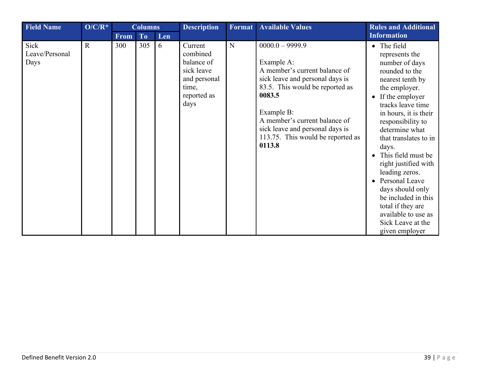<span id="page-38-0"></span>

| <b>Field Name</b>              | $O/C/R^*$    |             | <b>Columns</b> |     | <b>Description</b>                                                                              | Format      | <b>Available Values</b>                                                                                                                                                                                                                                                           | <b>Rules and Additional</b>                                                                                                                                                                                                                                                                                                                                                                                                                                                                |
|--------------------------------|--------------|-------------|----------------|-----|-------------------------------------------------------------------------------------------------|-------------|-----------------------------------------------------------------------------------------------------------------------------------------------------------------------------------------------------------------------------------------------------------------------------------|--------------------------------------------------------------------------------------------------------------------------------------------------------------------------------------------------------------------------------------------------------------------------------------------------------------------------------------------------------------------------------------------------------------------------------------------------------------------------------------------|
|                                |              | <b>From</b> | To             | Len |                                                                                                 |             |                                                                                                                                                                                                                                                                                   | <b>Information</b>                                                                                                                                                                                                                                                                                                                                                                                                                                                                         |
| Sick<br>Leave/Personal<br>Days | $\mathbf{R}$ | 300         | 305            | 6   | Current<br>combined<br>balance of<br>sick leave<br>and personal<br>time,<br>reported as<br>days | $\mathbf N$ | $0000.0 - 9999.9$<br>Example A:<br>A member's current balance of<br>sick leave and personal days is<br>83.5. This would be reported as<br>0083.5<br>Example B:<br>A member's current balance of<br>sick leave and personal days is<br>113.75. This would be reported as<br>0113.8 | • The field<br>represents the<br>number of days<br>rounded to the<br>nearest tenth by<br>the employer.<br>If the employer<br>$\bullet$<br>tracks leave time<br>in hours, it is their<br>responsibility to<br>determine what<br>that translates to in<br>days.<br>This field must be<br>right justified with<br>leading zeros.<br>Personal Leave<br>$\bullet$<br>days should only<br>be included in this<br>total if they are<br>available to use as<br>Sick Leave at the<br>given employer |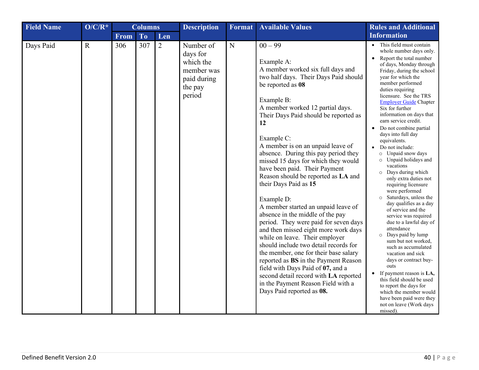| <b>Field Name</b> | $O/C/R^*$   | <b>Columns</b> |           | <b>Description</b> | Format                                                                               | <b>Available Values</b> | <b>Rules and Additional</b>                                                                                                                                                                                                                                                                                                                                                                                                                                                                                                                                                                                                                                                                                                                                                                                                                                                                                                                           |                                                                                                                                                                                                                                                                                                                                                                                                                                                                                                                                                                                                                                                                                                                                                                                                                                                                                                                                                                                                                                                             |
|-------------------|-------------|----------------|-----------|--------------------|--------------------------------------------------------------------------------------|-------------------------|-------------------------------------------------------------------------------------------------------------------------------------------------------------------------------------------------------------------------------------------------------------------------------------------------------------------------------------------------------------------------------------------------------------------------------------------------------------------------------------------------------------------------------------------------------------------------------------------------------------------------------------------------------------------------------------------------------------------------------------------------------------------------------------------------------------------------------------------------------------------------------------------------------------------------------------------------------|-------------------------------------------------------------------------------------------------------------------------------------------------------------------------------------------------------------------------------------------------------------------------------------------------------------------------------------------------------------------------------------------------------------------------------------------------------------------------------------------------------------------------------------------------------------------------------------------------------------------------------------------------------------------------------------------------------------------------------------------------------------------------------------------------------------------------------------------------------------------------------------------------------------------------------------------------------------------------------------------------------------------------------------------------------------|
|                   |             | <b>From</b>    | <b>To</b> | Len                |                                                                                      |                         |                                                                                                                                                                                                                                                                                                                                                                                                                                                                                                                                                                                                                                                                                                                                                                                                                                                                                                                                                       | <b>Information</b>                                                                                                                                                                                                                                                                                                                                                                                                                                                                                                                                                                                                                                                                                                                                                                                                                                                                                                                                                                                                                                          |
| Days Paid         | $\mathbf R$ | 306            | 307       | $\overline{2}$     | Number of<br>days for<br>which the<br>member was<br>paid during<br>the pay<br>period | N                       | $00 - 99$<br>Example A:<br>A member worked six full days and<br>two half days. Their Days Paid should<br>be reported as 08<br>Example B:<br>A member worked 12 partial days.<br>Their Days Paid should be reported as<br>12<br>Example C:<br>A member is on an unpaid leave of<br>absence. During this pay period they<br>missed 15 days for which they would<br>have been paid. Their Payment<br>Reason should be reported as LA and<br>their Days Paid as 15<br>Example D:<br>A member started an unpaid leave of<br>absence in the middle of the pay<br>period. They were paid for seven days<br>and then missed eight more work days<br>while on leave. Their employer<br>should include two detail records for<br>the member, one for their base salary<br>reported as BS in the Payment Reason<br>field with Days Paid of 07, and a<br>second detail record with LA reported<br>in the Payment Reason Field with a<br>Days Paid reported as 08. | This field must contain<br>whole number days only.<br>Report the total number<br>$\bullet$<br>of days, Monday through<br>Friday, during the school<br>year for which the<br>member performed<br>duties requiring<br>licensure. See the TRS<br><b>Employer Guide Chapter</b><br>Six for further<br>information on days that<br>earn service credit.<br>Do not combine partial<br>$\bullet$<br>days into full day<br>equivalents.<br>Do not include:<br>o Unpaid snow days<br>o Unpaid holidays and<br>vacations<br>o Days during which<br>only extra duties not<br>requiring licensure<br>were performed<br>Saturdays, unless the<br>day qualifies as a day<br>of service and the<br>service was required<br>due to a lawful day of<br>attendance<br>O Days paid by lump<br>sum but not worked,<br>such as accumulated<br>vacation and sick<br>days or contract buy-<br>outs<br>If payment reason is LA,<br>this field should be used<br>to report the days for<br>which the member would<br>have been paid were they<br>not on leave (Work days<br>missed). |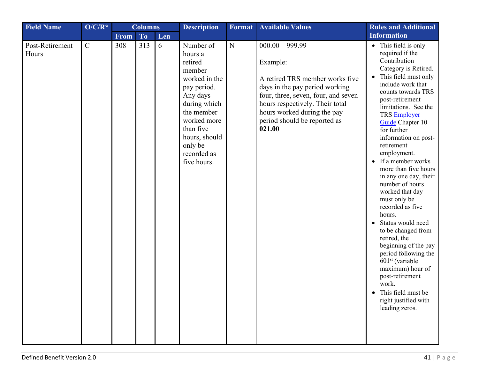| <b>Field Name</b>        | $O/C/R^*$   |      | <b>Columns</b> |     | <b>Description</b>                                                                                                                                                                                        | Format      | <b>Available Values</b>                                                                                                                                                                                                                               | <b>Rules and Additional</b>                                                                                                                                                                                                                                                                                                                                                                                                                                                                                                                                                                                                                                                                                                                            |
|--------------------------|-------------|------|----------------|-----|-----------------------------------------------------------------------------------------------------------------------------------------------------------------------------------------------------------|-------------|-------------------------------------------------------------------------------------------------------------------------------------------------------------------------------------------------------------------------------------------------------|--------------------------------------------------------------------------------------------------------------------------------------------------------------------------------------------------------------------------------------------------------------------------------------------------------------------------------------------------------------------------------------------------------------------------------------------------------------------------------------------------------------------------------------------------------------------------------------------------------------------------------------------------------------------------------------------------------------------------------------------------------|
|                          |             | From | <b>To</b>      | Len |                                                                                                                                                                                                           |             |                                                                                                                                                                                                                                                       | <b>Information</b>                                                                                                                                                                                                                                                                                                                                                                                                                                                                                                                                                                                                                                                                                                                                     |
| Post-Retirement<br>Hours | $\mathbf C$ | 308  | 313            | 6   | Number of<br>hours a<br>retired<br>member<br>worked in the<br>pay period.<br>Any days<br>during which<br>the member<br>worked more<br>than five<br>hours, should<br>only be<br>recorded as<br>five hours. | $\mathbf N$ | $000.00 - 999.99$<br>Example:<br>A retired TRS member works five<br>days in the pay period working<br>four, three, seven, four, and seven<br>hours respectively. Their total<br>hours worked during the pay<br>period should be reported as<br>021.00 | • This field is only<br>required if the<br>Contribution<br>Category is Retired.<br>This field must only<br>$\bullet$<br>include work that<br>counts towards TRS<br>post-retirement<br>limitations. See the<br>TRS Employer<br>Guide Chapter 10<br>for further<br>information on post-<br>retirement<br>employment.<br>If a member works<br>$\bullet$<br>more than five hours<br>in any one day, their<br>number of hours<br>worked that day<br>must only be<br>recorded as five<br>hours.<br>Status would need<br>$\bullet$<br>to be changed from<br>retired, the<br>beginning of the pay<br>period following the<br>$601st$ (variable<br>maximum) hour of<br>post-retirement<br>work.<br>This field must be<br>right justified with<br>leading zeros. |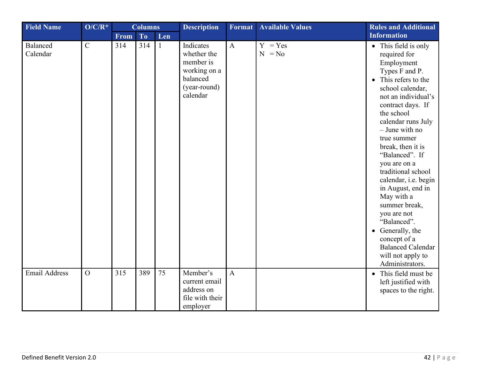<span id="page-41-1"></span><span id="page-41-0"></span>

| <b>Field Name</b>    | $O/C/R^*$      | <b>Columns</b> |           | <b>Description</b> | <b>Format</b>                                                                                 | <b>Available Values</b> | <b>Rules and Additional</b> |                                                                                                                                                                                                                                                                                                                                                                                                                                                                                                                                                          |
|----------------------|----------------|----------------|-----------|--------------------|-----------------------------------------------------------------------------------------------|-------------------------|-----------------------------|----------------------------------------------------------------------------------------------------------------------------------------------------------------------------------------------------------------------------------------------------------------------------------------------------------------------------------------------------------------------------------------------------------------------------------------------------------------------------------------------------------------------------------------------------------|
|                      |                | From           | <b>To</b> | Len                |                                                                                               |                         |                             | <b>Information</b>                                                                                                                                                                                                                                                                                                                                                                                                                                                                                                                                       |
| Balanced<br>Calendar | $\mathbf C$    | 314            | 314       | $\mathbf{1}$       | Indicates<br>whether the<br>member is<br>working on a<br>balanced<br>(year-round)<br>calendar | $\mathbf{A}$            | $=$ Yes<br>Y<br>$N = No$    | • This field is only<br>required for<br>Employment<br>Types F and P.<br>This refers to the<br>$\bullet$<br>school calendar,<br>not an individual's<br>contract days. If<br>the school<br>calendar runs July<br>$-$ June with no<br>true summer<br>break, then it is<br>"Balanced". If<br>you are on a<br>traditional school<br>calendar, i.e. begin<br>in August, end in<br>May with a<br>summer break,<br>you are not<br>"Balanced".<br>Generally, the<br>$\bullet$<br>concept of a<br><b>Balanced Calendar</b><br>will not apply to<br>Administrators. |
| <b>Email Address</b> | $\overline{O}$ | 315            | 389       | 75                 | Member's<br>current email<br>address on<br>file with their<br>employer                        | $\mathbf{A}$            |                             | • This field must be<br>left justified with<br>spaces to the right.                                                                                                                                                                                                                                                                                                                                                                                                                                                                                      |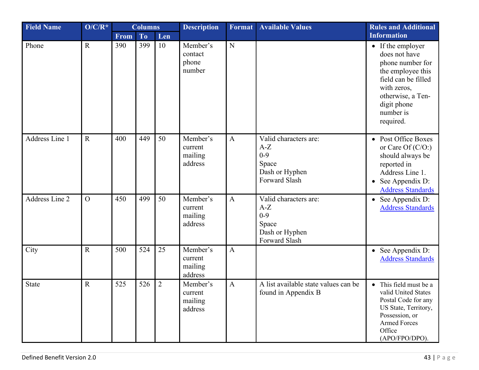<span id="page-42-2"></span><span id="page-42-1"></span><span id="page-42-0"></span>

| <b>Field Name</b> | $O/C/R^*$      | <b>Columns</b> |           | <b>Description</b> | Format                                    | <b>Available Values</b> | <b>Rules and Additional</b>                                                           |                                                                                                                                                                                 |
|-------------------|----------------|----------------|-----------|--------------------|-------------------------------------------|-------------------------|---------------------------------------------------------------------------------------|---------------------------------------------------------------------------------------------------------------------------------------------------------------------------------|
|                   |                | From           | <b>To</b> | Len                |                                           |                         |                                                                                       | <b>Information</b>                                                                                                                                                              |
| Phone             | $\mathbf R$    | 390            | 399       | 10                 | Member's<br>contact<br>phone<br>number    | $\mathbf N$             |                                                                                       | • If the employer<br>does not have<br>phone number for<br>the employee this<br>field can be filled<br>with zeros,<br>otherwise, a Ten-<br>digit phone<br>number is<br>required. |
| Address Line 1    | $\mathbf R$    | 400            | 449       | 50                 | Member's<br>current<br>mailing<br>address | $\mathbf{A}$            | Valid characters are:<br>$A-Z$<br>$0 - 9$<br>Space<br>Dash or Hyphen<br>Forward Slash | • Post Office Boxes<br>or Care Of $(C/O)$<br>should always be<br>reported in<br>Address Line 1.<br>See Appendix D:<br><b>Address Standards</b>                                  |
| Address Line 2    | $\overline{O}$ | 450            | 499       | 50                 | Member's<br>current<br>mailing<br>address | $\mathbf{A}$            | Valid characters are:<br>$A-Z$<br>$0 - 9$<br>Space<br>Dash or Hyphen<br>Forward Slash | • See Appendix D:<br><b>Address Standards</b>                                                                                                                                   |
| City              | $\mathbf R$    | 500            | 524       | 25                 | Member's<br>current<br>mailing<br>address | $\mathbf{A}$            |                                                                                       | • See Appendix D:<br><b>Address Standards</b>                                                                                                                                   |
| <b>State</b>      | $\mathbf R$    | 525            | 526       | $\overline{2}$     | Member's<br>current<br>mailing<br>address | $\mathbf{A}$            | A list available state values can be<br>found in Appendix B                           | • This field must be a<br>valid United States<br>Postal Code for any<br>US State, Territory,<br>Possession, or<br><b>Armed Forces</b><br>Office<br>(APO/FPO/DPO).               |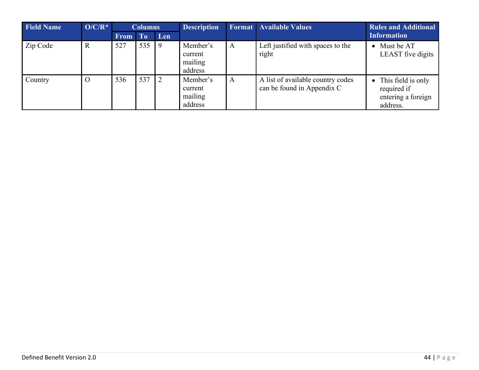| <b>Field Name</b> | $O/C/R^*$ | <b>Columns</b> |           | <b>Description</b> |                                           | <b>Format Available Values</b> | <b>Rules and Additional</b>                                     |                                                                       |
|-------------------|-----------|----------------|-----------|--------------------|-------------------------------------------|--------------------------------|-----------------------------------------------------------------|-----------------------------------------------------------------------|
|                   |           | <b>From</b>    | <b>To</b> | Len                |                                           |                                |                                                                 | <b>Information</b>                                                    |
| Zip Code          | R         | 527            | 535       | 9                  | Member's<br>current<br>mailing<br>address | A                              | Left justified with spaces to the<br>right                      | Must be AT<br>$\bullet$<br>LEAST five digits                          |
| Country           | $\Omega$  | 536            | 537       | $\sqrt{2}$         | Member's<br>current<br>mailing<br>address | A                              | A list of available country codes<br>can be found in Appendix C | • This field is only<br>required if<br>entering a foreign<br>address. |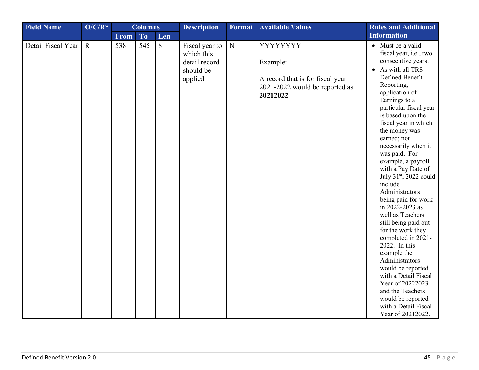<span id="page-44-0"></span>

| <b>Field Name</b>  | $O/C/R^*$   | <b>Columns</b> |           | <b>Description</b> | Format                                                                | <b>Available Values</b> | <b>Rules and Additional</b>                                                                           |                                                                                                                                                                                                                                                                                                                                                                                                                                                                                                                                                                                                                                                                                                                                                                               |
|--------------------|-------------|----------------|-----------|--------------------|-----------------------------------------------------------------------|-------------------------|-------------------------------------------------------------------------------------------------------|-------------------------------------------------------------------------------------------------------------------------------------------------------------------------------------------------------------------------------------------------------------------------------------------------------------------------------------------------------------------------------------------------------------------------------------------------------------------------------------------------------------------------------------------------------------------------------------------------------------------------------------------------------------------------------------------------------------------------------------------------------------------------------|
|                    |             | From           | <b>To</b> | Len                |                                                                       |                         |                                                                                                       | <b>Information</b>                                                                                                                                                                                                                                                                                                                                                                                                                                                                                                                                                                                                                                                                                                                                                            |
| Detail Fiscal Year | $\mathbf R$ | 538            | 545       | 8                  | Fiscal year to<br>which this<br>detail record<br>should be<br>applied | ${\bf N}$               | YYYYYYY<br>Example:<br>A record that is for fiscal year<br>2021-2022 would be reported as<br>20212022 | • Must be a valid<br>fiscal year, i.e., two<br>consecutive years.<br>As with all TRS<br>$\bullet$<br>Defined Benefit<br>Reporting,<br>application of<br>Earnings to a<br>particular fiscal year<br>is based upon the<br>fiscal year in which<br>the money was<br>earned; not<br>necessarily when it<br>was paid. For<br>example, a payroll<br>with a Pay Date of<br>July 31 <sup>st</sup> , 2022 could<br>include<br>Administrators<br>being paid for work<br>in 2022-2023 as<br>well as Teachers<br>still being paid out<br>for the work they<br>completed in 2021-<br>2022. In this<br>example the<br>Administrators<br>would be reported<br>with a Detail Fiscal<br>Year of 20222023<br>and the Teachers<br>would be reported<br>with a Detail Fiscal<br>Year of 20212022. |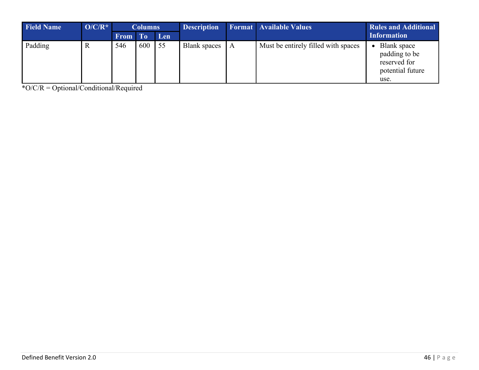<span id="page-45-0"></span>

| <b>Field Name</b> | $O/C/R^*$ | <b>Columns</b> |                | <b>Description</b> |                     | <b>Format</b> Available Values | <b>Rules and Additional</b>         |                                                                          |
|-------------------|-----------|----------------|----------------|--------------------|---------------------|--------------------------------|-------------------------------------|--------------------------------------------------------------------------|
|                   |           | <b>From</b>    | T <sub>o</sub> | Len                |                     |                                |                                     | <b>Information</b>                                                       |
| Padding           | R         | 546            | 600            | 55                 | <b>Blank</b> spaces | $\mathsf{A}$                   | Must be entirely filled with spaces | Blank space<br>padding to be<br>reserved for<br>potential future<br>use. |

\*O/C/R = Optional/Conditional/Required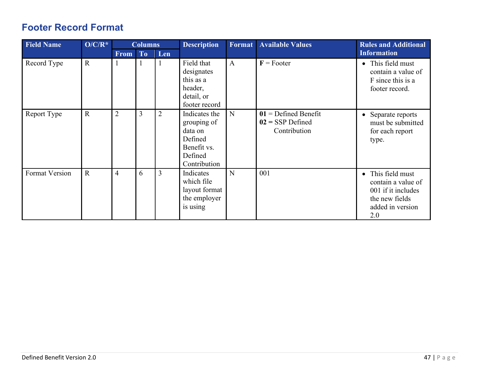## <span id="page-46-0"></span>**Footer Record Format**

<span id="page-46-2"></span><span id="page-46-1"></span>

| <b>Field Name</b> | $O/C/R^*$    |                | <b>Columns</b> |                | <b>Description</b>                                                                           | <b>Format</b> | <b>Available Values</b>                                      | <b>Rules and Additional</b>                                                                                           |
|-------------------|--------------|----------------|----------------|----------------|----------------------------------------------------------------------------------------------|---------------|--------------------------------------------------------------|-----------------------------------------------------------------------------------------------------------------------|
|                   |              | <b>From</b>    | To             | Len            |                                                                                              |               |                                                              | <b>Information</b>                                                                                                    |
| Record Type       | $\mathbf R$  | $\mathbf{1}$   |                | 1              | Field that<br>designates<br>this as a<br>header,<br>detail, or<br>footer record              | $\mathbf{A}$  | $F =$ Footer                                                 | • This field must<br>contain a value of<br>F since this is a<br>footer record.                                        |
| Report Type       | $\mathbf{R}$ | $\overline{2}$ | 3              | $\overline{2}$ | Indicates the<br>grouping of<br>data on<br>Defined<br>Benefit vs.<br>Defined<br>Contribution | N             | $01$ = Defined Benefit<br>$02 =$ SSP Defined<br>Contribution | • Separate reports<br>must be submitted<br>for each report<br>type.                                                   |
| Format Version    | $\mathbf R$  | $\overline{4}$ | 6              | 3              | Indicates<br>which file<br>layout format<br>the employer<br>is using                         | N             | 001                                                          | This field must<br>$\bullet$<br>contain a value of<br>001 if it includes<br>the new fields<br>added in version<br>2.0 |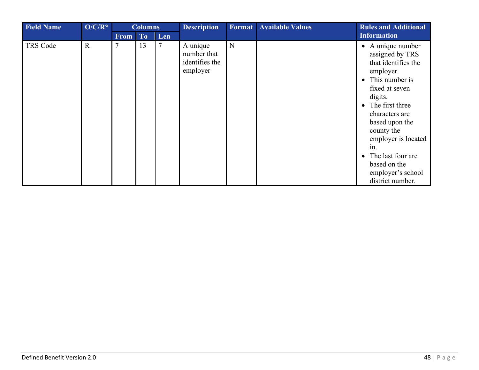| <b>Field Name</b> | $O/C/R^*$   |                | <b>Columns</b> |        | <b>Description</b>                                    | Format | <b>Available Values</b> | <b>Rules and Additional</b>                                                                                                                                                                                                                                                                                          |
|-------------------|-------------|----------------|----------------|--------|-------------------------------------------------------|--------|-------------------------|----------------------------------------------------------------------------------------------------------------------------------------------------------------------------------------------------------------------------------------------------------------------------------------------------------------------|
|                   |             | <b>From</b>    | To             | Len    |                                                       |        |                         | Information                                                                                                                                                                                                                                                                                                          |
| TRS Code          | $\mathbf R$ | $\overline{7}$ | 13             | $\tau$ | A unique<br>number that<br>identifies the<br>employer | N      |                         | $\bullet$ A unique number<br>assigned by TRS<br>that identifies the<br>employer.<br>• This number is<br>fixed at seven<br>digits.<br>• The first three<br>characters are<br>based upon the<br>county the<br>employer is located<br>1n.<br>The last four are<br>based on the<br>employer's school<br>district number. |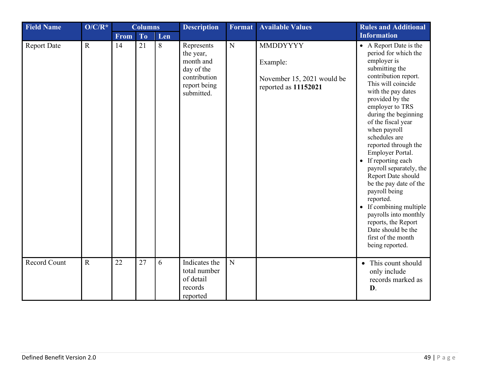| <b>Field Name</b>   | $O/C/R^*$   | <b>Columns</b> |           | <b>Description</b> | <b>Format</b>                                                                                    | <b>Available Values</b> | <b>Rules and Additional</b>                                                       |                                                                                                                                                                                                                                                                                                                                                                                                                                                                                                                                                                                                |
|---------------------|-------------|----------------|-----------|--------------------|--------------------------------------------------------------------------------------------------|-------------------------|-----------------------------------------------------------------------------------|------------------------------------------------------------------------------------------------------------------------------------------------------------------------------------------------------------------------------------------------------------------------------------------------------------------------------------------------------------------------------------------------------------------------------------------------------------------------------------------------------------------------------------------------------------------------------------------------|
|                     |             | <b>From</b>    | <b>To</b> | Len                |                                                                                                  |                         |                                                                                   | <b>Information</b>                                                                                                                                                                                                                                                                                                                                                                                                                                                                                                                                                                             |
| <b>Report Date</b>  | $\mathbf R$ | 14             | 21        | 8                  | Represents<br>the year,<br>month and<br>day of the<br>contribution<br>report being<br>submitted. | $\mathbf N$             | <b>MMDDYYYY</b><br>Example:<br>November 15, 2021 would be<br>reported as 11152021 | • A Report Date is the<br>period for which the<br>employer is<br>submitting the<br>contribution report.<br>This will coincide<br>with the pay dates<br>provided by the<br>employer to TRS<br>during the beginning<br>of the fiscal year<br>when payroll<br>schedules are<br>reported through the<br>Employer Portal.<br>• If reporting each<br>payroll separately, the<br>Report Date should<br>be the pay date of the<br>payroll being<br>reported.<br>• If combining multiple<br>payrolls into monthly<br>reports, the Report<br>Date should be the<br>first of the month<br>being reported. |
| <b>Record Count</b> | $\mathbf R$ | 22             | 27        | 6                  | Indicates the<br>total number<br>of detail<br>records<br>reported                                | N                       |                                                                                   | • This count should<br>only include<br>records marked as<br>D.                                                                                                                                                                                                                                                                                                                                                                                                                                                                                                                                 |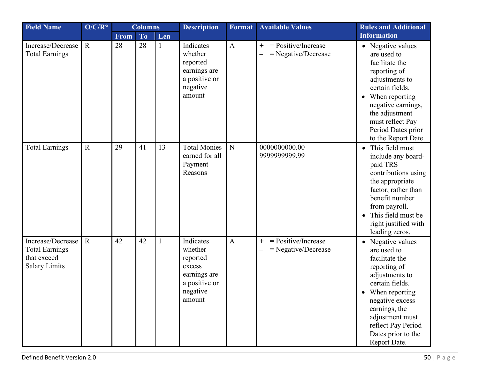| <b>Field Name</b>                                                                 | $O/C/R^*$   | <b>Columns</b> |                | <b>Description</b> | <b>Format</b>                                                                                     | <b>Available Values</b> | <b>Rules and Additional</b>                              |                                                                                                                                                                                                                                              |
|-----------------------------------------------------------------------------------|-------------|----------------|----------------|--------------------|---------------------------------------------------------------------------------------------------|-------------------------|----------------------------------------------------------|----------------------------------------------------------------------------------------------------------------------------------------------------------------------------------------------------------------------------------------------|
|                                                                                   |             | <b>From</b>    | T <sub>o</sub> | Len                |                                                                                                   |                         |                                                          | <b>Information</b>                                                                                                                                                                                                                           |
| Increase/Decrease<br><b>Total Earnings</b>                                        | $\mathbf R$ | 28             | 28             | $\mathbf{1}$       | Indicates<br>whether<br>reported<br>earnings are<br>a positive or<br>negative<br>amount           | $\mathbf{A}$            | $=$ Positive/Increase<br>$^{+}$<br>$=$ Negative/Decrease | • Negative values<br>are used to<br>facilitate the<br>reporting of<br>adjustments to<br>certain fields.<br>• When reporting<br>negative earnings,<br>the adjustment<br>must reflect Pay<br>Period Dates prior<br>to the Report Date.         |
| <b>Total Earnings</b>                                                             | $\mathbf R$ | 29             | 41             | 13                 | <b>Total Monies</b><br>earned for all<br>Payment<br>Reasons                                       | $\mathbf N$             | $0000000000.00 -$<br>9999999999.99                       | • This field must<br>include any board-<br>paid TRS<br>contributions using<br>the appropriate<br>factor, rather than<br>benefit number<br>from payroll.<br>This field must be<br>$\bullet$<br>right justified with<br>leading zeros.         |
| Increase/Decrease<br><b>Total Earnings</b><br>that exceed<br><b>Salary Limits</b> | $\mathbf R$ | 42             | 42             |                    | Indicates<br>whether<br>reported<br>excess<br>earnings are<br>a positive or<br>negative<br>amount | $\mathbf{A}$            | = Positive/Increase<br>$\pm$<br>$=$ Negative/Decrease    | • Negative values<br>are used to<br>facilitate the<br>reporting of<br>adjustments to<br>certain fields.<br>When reporting<br>negative excess<br>earnings, the<br>adjustment must<br>reflect Pay Period<br>Dates prior to the<br>Report Date. |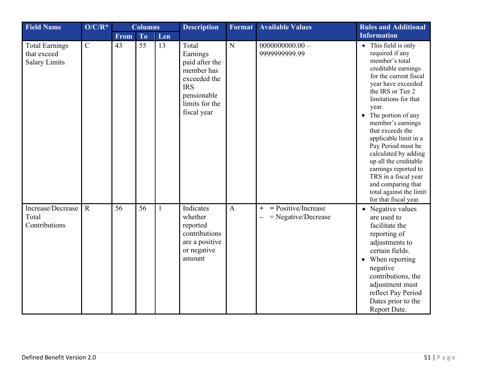<span id="page-50-0"></span>

| <b>Field Name</b>                                            | $O/C/R^*$   | <b>Columns</b> |                | <b>Description</b> | Format                                                                                                                          | <b>Available Values</b> | <b>Rules and Additional</b>                           |                                                                                                                                                                                                                                                                                                                                                                                                                                                                                   |
|--------------------------------------------------------------|-------------|----------------|----------------|--------------------|---------------------------------------------------------------------------------------------------------------------------------|-------------------------|-------------------------------------------------------|-----------------------------------------------------------------------------------------------------------------------------------------------------------------------------------------------------------------------------------------------------------------------------------------------------------------------------------------------------------------------------------------------------------------------------------------------------------------------------------|
|                                                              |             | <b>From</b>    | T <sub>o</sub> | Len                |                                                                                                                                 |                         |                                                       | <b>Information</b>                                                                                                                                                                                                                                                                                                                                                                                                                                                                |
| <b>Total Earnings</b><br>that exceed<br><b>Salary Limits</b> | ${\bf C}$   | 43             | 55             | 13                 | Total<br>Earnings<br>paid after the<br>member has<br>exceeded the<br><b>IRS</b><br>pensionable<br>limits for the<br>fiscal year | $\overline{N}$          | $0000000000.00 -$<br>999999999.99                     | • This field is only<br>required if any<br>member's total<br>creditable earnings<br>for the current fiscal<br>year have exceeded<br>the IRS or Tier 2<br>limitations for that<br>year.<br>• The portion of any<br>member's earnings<br>that exceeds the<br>applicable limit in a<br>Pay Period must be<br>calculated by adding<br>up all the creditable<br>earnings reported to<br>TRS in a fiscal year<br>and comparing that<br>total against the limit<br>for that fiscal year. |
| Increase/Decrease<br>Total<br>Contributions                  | $\mathbf R$ | 56             | 56             | $\mathbf{1}$       | Indicates<br>whether<br>reported<br>contributions<br>are a positive<br>or negative<br>amount                                    | $\mathbf{A}$            | $=$ Positive/Increase<br>$+$<br>$=$ Negative/Decrease | • Negative values<br>are used to<br>facilitate the<br>reporting of<br>adjustments to<br>certain fields.<br>• When reporting<br>negative<br>contributions, the<br>adjustment must<br>reflect Pay Period<br>Dates prior to the<br>Report Date.                                                                                                                                                                                                                                      |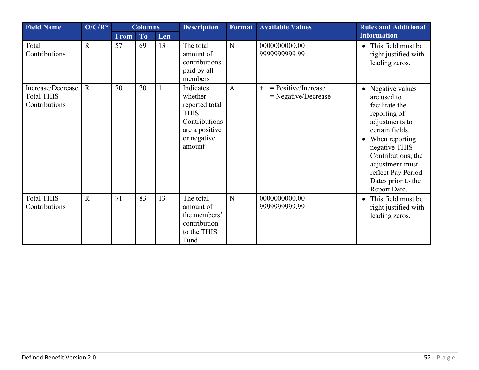<span id="page-51-0"></span>

| <b>Field Name</b>                                       | $O/C/R^*$   | <b>Columns</b> |                |     | <b>Description</b>                                                                                                | Format         | <b>Available Values</b>                               | <b>Rules and Additional</b>                                                                                                                                                                                                                     |  |  |
|---------------------------------------------------------|-------------|----------------|----------------|-----|-------------------------------------------------------------------------------------------------------------------|----------------|-------------------------------------------------------|-------------------------------------------------------------------------------------------------------------------------------------------------------------------------------------------------------------------------------------------------|--|--|
|                                                         |             | <b>From</b>    | T <sub>o</sub> | Len |                                                                                                                   |                |                                                       | <b>Information</b>                                                                                                                                                                                                                              |  |  |
| Total<br>Contributions                                  | $\mathbf R$ | 57             | 69             | 13  | The total<br>amount of<br>contributions<br>paid by all<br>members                                                 | N              | $0000000000.00 -$<br>9999999999.99                    | • This field must be<br>right justified with<br>leading zeros.                                                                                                                                                                                  |  |  |
| Increase/Decrease<br><b>Total THIS</b><br>Contributions | $\mathbf R$ | 70             | 70             |     | Indicates<br>whether<br>reported total<br><b>THIS</b><br>Contributions<br>are a positive<br>or negative<br>amount | $\overline{A}$ | $=$ Positive/Increase<br>$+$<br>$=$ Negative/Decrease | • Negative values<br>are used to<br>facilitate the<br>reporting of<br>adjustments to<br>certain fields.<br>When reporting<br>negative THIS<br>Contributions, the<br>adjustment must<br>reflect Pay Period<br>Dates prior to the<br>Report Date. |  |  |
| <b>Total THIS</b><br>Contributions                      | $\mathbf R$ | 71             | 83             | 13  | The total<br>amount of<br>the members'<br>contribution<br>to the THIS<br>Fund                                     | N              | $0000000000.00 -$<br>9999999999.99                    | This field must be<br>$\bullet$<br>right justified with<br>leading zeros.                                                                                                                                                                       |  |  |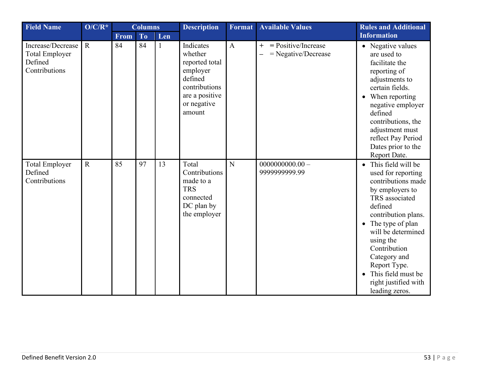| <b>Field Name</b>                                                      | $O/C/R^*$   | <b>Columns</b> |           | <b>Description</b> | <b>Format</b>                                                                                                             | <b>Available Values</b> | <b>Rules and Additional</b>                           |                                                                                                                                                                                                                                                                                                                               |
|------------------------------------------------------------------------|-------------|----------------|-----------|--------------------|---------------------------------------------------------------------------------------------------------------------------|-------------------------|-------------------------------------------------------|-------------------------------------------------------------------------------------------------------------------------------------------------------------------------------------------------------------------------------------------------------------------------------------------------------------------------------|
|                                                                        |             | <b>From</b>    | <b>To</b> | Len                |                                                                                                                           |                         |                                                       | <b>Information</b>                                                                                                                                                                                                                                                                                                            |
| Increase/Decrease<br><b>Total Employer</b><br>Defined<br>Contributions | $\mathbf R$ | 84             | 84        | $\mathbf{1}$       | Indicates<br>whether<br>reported total<br>employer<br>defined<br>contributions<br>are a positive<br>or negative<br>amount | $\mathbf{A}$            | $=$ Positive/Increase<br>$+$<br>$=$ Negative/Decrease | • Negative values<br>are used to<br>facilitate the<br>reporting of<br>adjustments to<br>certain fields.<br>• When reporting<br>negative employer<br>defined<br>contributions, the<br>adjustment must<br>reflect Pay Period<br>Dates prior to the<br>Report Date.                                                              |
| <b>Total Employer</b><br>Defined<br>Contributions                      | $\mathbf R$ | 85             | 97        | 13                 | Total<br>Contributions<br>made to a<br><b>TRS</b><br>connected<br>DC plan by<br>the employer                              | N                       | $0000000000.00 -$<br>9999999999.99                    | • This field will be<br>used for reporting<br>contributions made<br>by employers to<br>TRS associated<br>defined<br>contribution plans.<br>• The type of plan<br>will be determined<br>using the<br>Contribution<br>Category and<br>Report Type.<br>This field must be<br>$\bullet$<br>right justified with<br>leading zeros. |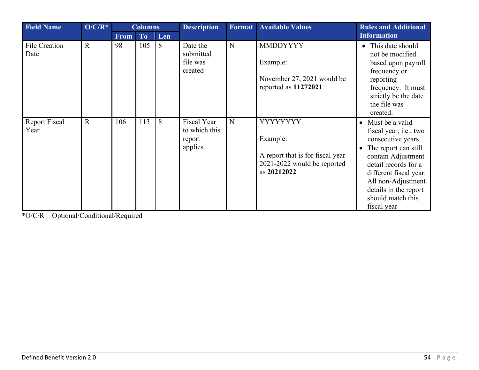| <b>Field Name</b>            | $O/C/R^*$   |             | <b>Columns</b> |     | <b>Description</b>                                 | <b>Format</b> | <b>Available Values</b>                                                                                | <b>Rules and Additional</b>                                                                                                                                                                                                                            |
|------------------------------|-------------|-------------|----------------|-----|----------------------------------------------------|---------------|--------------------------------------------------------------------------------------------------------|--------------------------------------------------------------------------------------------------------------------------------------------------------------------------------------------------------------------------------------------------------|
|                              |             | <b>From</b> | To             | Len |                                                    |               |                                                                                                        | <b>Information</b>                                                                                                                                                                                                                                     |
| <b>File Creation</b><br>Date | $\mathbf R$ | 98          | 105            | 8   | Date the<br>submitted<br>file was<br>created       | N             | <b>MMDDYYYY</b><br>Example:<br>November 27, 2021 would be<br>reported as 11272021                      | • This date should<br>not be modified<br>based upon payroll<br>frequency or<br>reporting<br>frequency. It must<br>strictly be the date<br>the file was<br>created.                                                                                     |
| <b>Report Fiscal</b><br>Year | $\mathbf R$ | 106         | 113            | 8   | Fiscal Year<br>to which this<br>report<br>applies. | N             | YYYYYYYY<br>Example:<br>A report that is for fiscal year<br>2021-2022 would be reported<br>as 20212022 | • Must be a valid<br>fiscal year, i.e., two<br>consecutive years.<br>• The report can still<br>contain Adjustment<br>detail records for a<br>different fiscal year.<br>All non-Adjustment<br>details in the report<br>should match this<br>fiscal year |

<span id="page-53-0"></span>\*O/C/R = Optional/Conditional/Required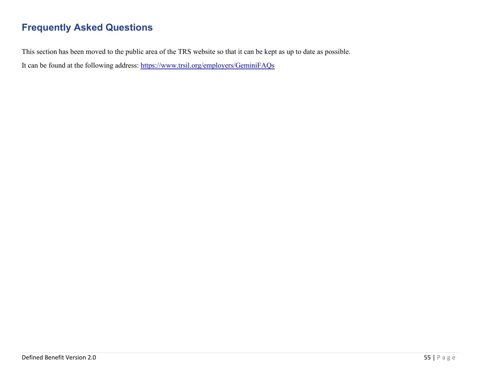## <span id="page-54-0"></span>**Frequently Asked Questions**

This section has been moved to the public area of the TRS website so that it can be kept as up to date as possible.

It can be found at the following address:<https://www.trsil.org/employers/GeminiFAQs>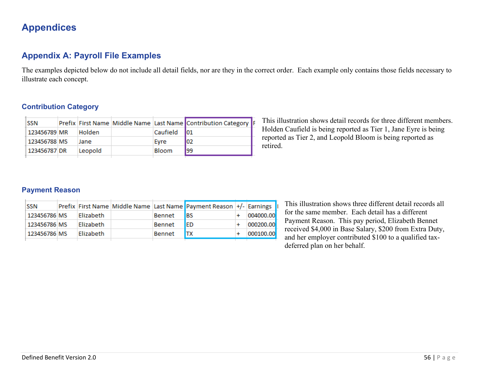## <span id="page-55-0"></span>**Appendices**

### **Appendix A: Payroll File Examples**

The examples depicted below do not include all detail fields, nor are they in the correct order. Each example only contains those fields necessary to illustrate each concept.

#### **Contribution Category**

| <b>SSN</b>   |         |          | Prefix First Name Middle Name Last Name Contribution Category  F |
|--------------|---------|----------|------------------------------------------------------------------|
| 123456789 MR | Holden  | Caufield | 101                                                              |
| 123456788 MS | Jane    | Evre     | 102                                                              |
| 123456787 DR | Leopold | Bloom    | 199                                                              |

This illustration shows detail records for three different members. Holden Caufield is being reported as Tier 1, Jane Eyre is being reported as Tier 2, and Leopold Bloom is being reported as retired.

#### **Payment Reason**

| SSN          |           |               | Prefix First Name Middle Name Last Name Payment Reason +/- Earnings |           |  |
|--------------|-----------|---------------|---------------------------------------------------------------------|-----------|--|
| 123456786 MS | Elizabeth | Bennet        | IBS                                                                 | 004000.00 |  |
| 123456786 MS | Elizabeth | <b>Bennet</b> | <b>IED</b>                                                          | 000200.00 |  |
| 123456786 MS | Elizabeth | Bennet        | <b>ITX</b>                                                          | 000100.00 |  |
|              |           |               |                                                                     |           |  |

This illustration shows three different detail records all for the same member. Each detail has a different Payment Reason. This pay period, Elizabeth Bennet received \$4,000 in Base Salary, \$200 from Extra Duty, and her employer contributed \$100 to a qualified taxdeferred plan on her behalf.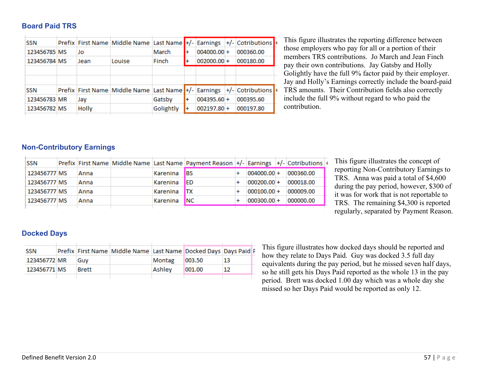**Board Paid TRS**

| <b>SSN</b>   |              | Prefix First Name Middle Name Last Name +/- Earnings +/- Cotributions + |           |    |               |           |  |
|--------------|--------------|-------------------------------------------------------------------------|-----------|----|---------------|-----------|--|
| 123456785 MS | Jo           |                                                                         | March     |    | $004000.00 +$ | 000360.00 |  |
| 123456784 MS | Jean         | Louise                                                                  | Finch     | l+ | $002000.00 +$ | 000180.00 |  |
|              |              |                                                                         |           |    |               |           |  |
|              |              |                                                                         |           |    |               |           |  |
| <b>SSN</b>   |              | Prefix First Name Middle Name Last Name +/- Earnings +/- Cotributions + |           |    |               |           |  |
| 123456783 MR | Jay          |                                                                         | Gatsby    |    | $004395.60 +$ | 000395.60 |  |
| 123456782 MS | <b>Holly</b> |                                                                         | Golightly |    | $002197.80 +$ | 000197.80 |  |

This figure illustrates the reporting difference between those employers who pay for all or a portion of their members TRS contributions. Jo March and Jean Finch pay their own contributions. Jay Gatsby and Holly Golightly have the full 9% factor paid by their employer. Jay and Holly's Earnings correctly include the board-paid TRS amounts. Their Contribution fields also correctly include the full 9% without regard to who paid the contribution.

#### **Non-Contributory Earnings**

| <b>SSN</b>   |      |          | Prefix First Name Middle Name Last Name Payment Reason +/- Earnings +/- Cotributions + |                 |           |
|--------------|------|----------|----------------------------------------------------------------------------------------|-----------------|-----------|
| 123456777 MS | Anna | Karenina | <b>IBS</b>                                                                             | $004000.00 +$   | 000360.00 |
| 123456777 MS | Anna | Karenina | IED                                                                                    | $000200.00 +$   | 000018.00 |
| 123456777 MS | Anna | Karenina | <b>ITX</b>                                                                             | $000100.00 +$   | 000009.00 |
| 123456777 MS | Anna | Karenina | <b>INC</b>                                                                             | $ 000300.00  +$ | 000000.00 |
|              |      |          |                                                                                        |                 |           |

This figure illustrates the concept of reporting Non-Contributory Earnings to TRS. Anna was paid a total of \$4,600 during the pay period, however, \$300 of it was for work that is not reportable to TRS. The remaining \$4,300 is reported regularly, separated by Payment Reason.

#### **Docked Days**

| SSN          |              | Prefix First Name Middle Name Last Name Docked Days Days Paid F |        |         |    |
|--------------|--------------|-----------------------------------------------------------------|--------|---------|----|
| 123456772 MR | Guv          |                                                                 | Montag | 1003.50 | 13 |
| 123456771 MS | <b>Brett</b> |                                                                 | Ashley | 1001.00 | 12 |

This figure illustrates how docked days should be reported and how they relate to Days Paid. Guy was docked 3.5 full day equivalents during the pay period, but he missed seven half days, so he still gets his Days Paid reported as the whole 13 in the pay period. Brett was docked 1.00 day which was a whole day she missed so her Days Paid would be reported as only 12.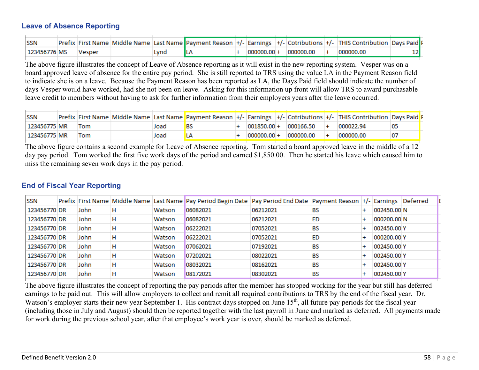#### **Leave of Absence Reporting**

| <b>SSN</b>   |        |      |  |  |                             | Prefix First Name Middle Name Last Name Payment Reason +/- Earnings +/- Cotributions +/- THIS Contribution Days Paid F |  |
|--------------|--------|------|--|--|-----------------------------|------------------------------------------------------------------------------------------------------------------------|--|
| 123456776 MS | Vesper | Lynd |  |  | $ 000000.00  +  000000.00 $ | 000000.00                                                                                                              |  |
|              |        |      |  |  |                             |                                                                                                                        |  |

The above figure illustrates the concept of Leave of Absence reporting as it will exist in the new reporting system. Vesper was on a board approved leave of absence for the entire pay period. She is still reported to TRS using the value LA in the Payment Reason field to indicate she is on a leave. Because the Payment Reason has been reported as LA, the Days Paid field should indicate the number of days Vesper would have worked, had she not been on leave. Asking for this information up front will allow TRS to award purchasable leave credit to members without having to ask for further information from their employers years after the leave occurred.

| <b>SSN</b>   |     |      |    |               |           | Prefix First Name Middle Name Last Name Payment Reason  +/- Earnings  +/- Cotributions  +/- THIS Contribution Days Paid F |  |
|--------------|-----|------|----|---------------|-----------|---------------------------------------------------------------------------------------------------------------------------|--|
| 123456775 MR | Tom | Joad | BS | $001850.00 +$ | 000166.50 | 000022.94                                                                                                                 |  |
| 123456775 MR | Tom | Joad |    | $000000.00 +$ | 000000.00 | 000000.00                                                                                                                 |  |

The above figure contains a second example for Leave of Absence reporting. Tom started a board approved leave in the middle of a 12 day pay period. Tom worked the first five work days of the period and earned \$1,850.00. Then he started his leave which caused him to miss the remaining seven work days in the pay period.

#### **End of Fiscal Year Reporting**

| <b>SSN</b>   |      |   |        | Prefix First Name Middle Name Last Name Pay Period Begin Date Pay Period End Date Payment Reason +/- Earnings Deferred |          |    |             |  |
|--------------|------|---|--------|------------------------------------------------------------------------------------------------------------------------|----------|----|-------------|--|
| 123456770 DR | John |   | Watson | 06082021                                                                                                               | 06212021 | BS | 002450.00 N |  |
| 123456770 DR | John | н | Watson | 06082021                                                                                                               | 06212021 | ED | 000200.00 N |  |
| 123456770 DR | John | н | Watson | 06222021                                                                                                               | 07052021 | BS | 002450.00 Y |  |
| 123456770 DR | John | н | Watson | 06222021                                                                                                               | 07052021 | ED | 000200.00 Y |  |
| 123456770 DR | John | н | Watson | 07062021                                                                                                               | 07192021 | BS | 002450.00 Y |  |
| 123456770 DR | John |   | Watson | 07202021                                                                                                               | 08022021 | BS | 002450.00 Y |  |
| 123456770 DR | John |   | Watson | 08032021                                                                                                               | 08162021 | BS | 002450.00 Y |  |
| 123456770 DR | John |   | Watson | 08172021                                                                                                               | 08302021 | BS | 002450.00 Y |  |
|              |      |   |        |                                                                                                                        |          |    |             |  |

The above figure illustrates the concept of reporting the pay periods after the member has stopped working for the year but still has deferred earnings to be paid out. This will allow employers to collect and remit all required contributions to TRS by the end of the fiscal year. Dr. Watson's employer starts their new year September 1. His contract days stopped on June 15<sup>th</sup>, all future pay periods for the fiscal year (including those in July and August) should then be reported together with the last payroll in June and marked as deferred. All payments made for work during the previous school year, after that employee's work year is over, should be marked as deferred.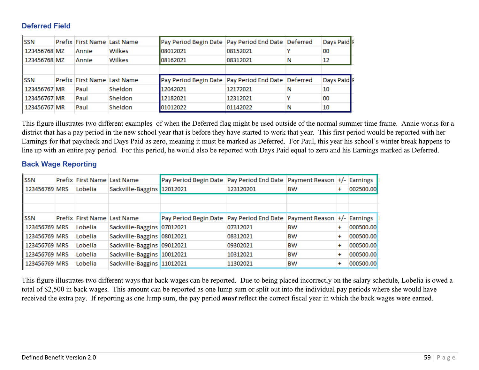#### <span id="page-58-0"></span>**Deferred Field**

| <b>SSN</b>   | Prefix First Name Last Name |                             | Pay Period Begin Date   Pay Period End Date   Deferred |          |   | Days Paid |
|--------------|-----------------------------|-----------------------------|--------------------------------------------------------|----------|---|-----------|
| 123456768 MZ | Annie                       | Wilkes                      | 08012021                                               | 08152021 |   | 00        |
| 123456768 MZ | Annie                       | Wilkes                      | 08162021                                               | 08312021 | N | 12        |
|              |                             |                             |                                                        |          |   |           |
| <b>SSN</b>   |                             | Prefix First Name Last Name | Pay Period Begin Date   Pay Period End Date   Deferred |          |   | Days Paid |
|              |                             |                             |                                                        |          |   |           |
| 123456767 MR | Paul                        | Sheldon                     | 12042021                                               | 12172021 |   | 10        |
| 123456767 MR | Paul                        | <b>Sheldon</b>              | 12182021                                               | 12312021 |   | 00        |
| 123456767 MR | Paul                        | Sheldon                     | 01012022                                               | 01142022 | N | 10        |

This figure illustrates two different examples of when the Deferred flag might be used outside of the normal summer time frame. Annie works for a district that has a pay period in the new school year that is before they have started to work that year. This first period would be reported with her Earnings for that paycheck and Days Paid as zero, meaning it must be marked as Deferred. For Paul, this year his school's winter break happens to line up with an entire pay period. For this period, he would also be reported with Days Paid equal to zero and his Earnings marked as Deferred.

#### **Back Wage Reporting**

| SSN           | Prefix First Name Last Name |                            | Pay Period Begin Date Pay Period End Date Payment Reason +/- Earnings       |           |    |           |           |
|---------------|-----------------------------|----------------------------|-----------------------------------------------------------------------------|-----------|----|-----------|-----------|
| 123456769 MRS | Lobelia                     | Sackville-Baggins 12012021 |                                                                             | 123120201 | BW | $\pmb{+}$ | 002500.00 |
|               |                             |                            |                                                                             |           |    |           |           |
|               |                             |                            |                                                                             |           |    |           |           |
| <b>SSN</b>    | Prefix First Name Last Name |                            | Pay Period Begin Date   Pay Period End Date   Payment Reason   +/- Earnings |           |    |           |           |
| 123456769 MRS | Lobelia                     | Sackville-Baggins 07012021 |                                                                             | 07312021  | BW | $\ddot{}$ | 000500.00 |
| 123456769 MRS | Lobelia                     | Sackville-Baggins 08012021 |                                                                             | 08312021  | BW | ÷         | 000500.00 |
| 123456769 MRS | Lobelia                     | Sackville-Baggins 09012021 |                                                                             | 09302021  | BW | ÷         | 000500.00 |
| 123456769 MRS | Lobelia                     | Sackville-Baggins 10012021 |                                                                             | 10312021  | BW | $\ddot{}$ | 000500.00 |
| 123456769 MRS | Lobelia                     | Sackville-Baggins 11012021 |                                                                             | 11302021  | BW | $\pmb{+}$ | 000500.00 |

This figure illustrates two different ways that back wages can be reported. Due to being placed incorrectly on the salary schedule, Lobelia is owed a total of \$2,500 in back wages. This amount can be reported as one lump sum or split out into the individual pay periods where she would have received the extra pay. If reporting as one lump sum, the pay period *must* reflect the correct fiscal year in which the back wages were earned.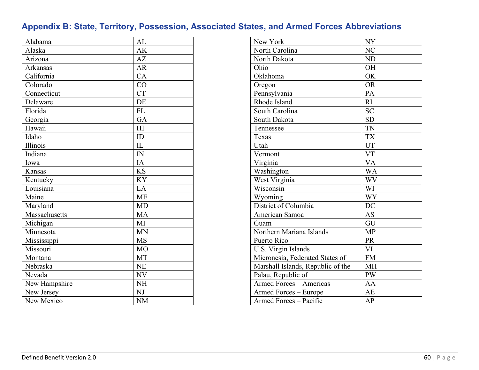## **Appendix B: State, Territory, Possession, Associated States, and Armed Forces Abbreviations**

| Alabama       | AL             |
|---------------|----------------|
| Alaska        | AK             |
| Arizona       | AZ             |
| Arkansas      | <b>AR</b>      |
| California    | CA             |
| Colorado      | CO             |
| Connecticut   | <b>CT</b>      |
| Delaware      | DE             |
| Florida       | <b>FL</b>      |
| Georgia       | <b>GA</b>      |
| Hawaii        | H <sub>I</sub> |
| Idaho         | ID             |
| Illinois      | IL             |
| Indiana       | IN             |
| Iowa          | IA             |
| Kansas        | <b>KS</b>      |
| Kentucky      | <b>KY</b>      |
| Louisiana     | LA             |
| Maine         | <b>ME</b>      |
| Maryland      | <b>MD</b>      |
| Massachusetts | MA             |
| Michigan      | MI             |
| Minnesota     | <b>MN</b>      |
| Mississippi   | <b>MS</b>      |
| Missouri      | <b>MO</b>      |
| Montana       | MT             |
| Nebraska      | <b>NE</b>      |
| Nevada        | NV             |
| New Hampshire | <b>NH</b>      |
| New Jersey    | NJ             |
| New Mexico    | <b>NM</b>      |

| New York                          | NY             |
|-----------------------------------|----------------|
| North Carolina                    | N <sub>C</sub> |
| North Dakota                      | <b>ND</b>      |
| Ohio                              | <b>OH</b>      |
| Oklahoma                          | OK             |
| Oregon                            | <b>OR</b>      |
| Pennsylvania                      | PA             |
| Rhode Island                      | RI             |
| South Carolina                    | <b>SC</b>      |
| South Dakota                      | <b>SD</b>      |
| Tennessee                         | TN             |
| Texas                             | <b>TX</b>      |
| Utah                              | UT             |
| Vermont                           | <b>VT</b>      |
| Virginia                          | <b>VA</b>      |
| Washington                        | <b>WA</b>      |
| West Virginia                     | WV             |
| Wisconsin                         | WI             |
| Wyoming                           | <b>WY</b>      |
| District of Columbia              | DC             |
| American Samoa                    | <b>AS</b>      |
| Guam                              | GU             |
| Northern Mariana Islands          | <b>MP</b>      |
| Puerto Rico                       | PR             |
| U.S. Virgin Islands               | VI             |
| Micronesia, Federated States of   | <b>FM</b>      |
| Marshall Islands, Republic of the | МH             |
| Palau, Republic of                | <b>PW</b>      |
| <b>Armed Forces - Americas</b>    | AA             |
| Armed Forces - Europe             | <b>AE</b>      |
| Armed Forces - Pacific            | AP             |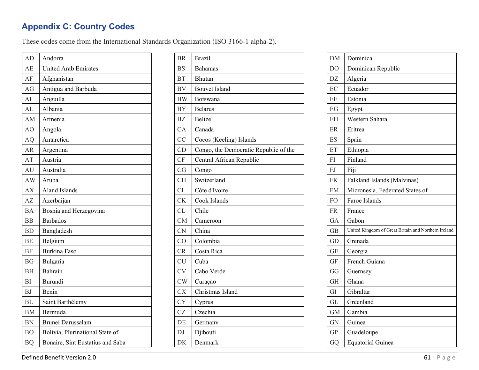## **Appendix C: Country Codes**

These codes come from the International Standards Organization (ISO 3166-1 alpha-2).

| AD             | Andorra                          |
|----------------|----------------------------------|
| AE             | <b>United Arab Emirates</b>      |
| AF             | Afghanistan                      |
| AG             | Antigua and Barbuda              |
| AI             | Anguilla                         |
| AL             | Albania                          |
| AM             | Armenia                          |
| AO             | Angola                           |
| AQ             | Antarctica                       |
| <b>AR</b>      | Argentina                        |
| AT             | Austria                          |
| AU             | Australia                        |
| AW             | Aruba                            |
| AX             | Åland Islands                    |
| AZ             | Azerbaijan                       |
| <b>BA</b>      | Bosnia and Herzegovina           |
| <b>BB</b>      | <b>Barbados</b>                  |
| <b>BD</b>      | Bangladesh                       |
| <b>BE</b>      | Belgium                          |
| <b>BF</b>      | <b>Burkina Faso</b>              |
| <b>BG</b>      | Bulgaria                         |
| <b>BH</b>      | Bahrain                          |
| <b>BI</b>      | Burundi                          |
| <b>BJ</b>      | Benin                            |
| BL             | Saint Barthélemy                 |
| <b>BM</b>      | Bermuda                          |
| <b>BN</b>      | Brunei Darussalam                |
| B <sub>O</sub> | Bolivia, Plurinational State of  |
| <b>BQ</b>      | Bonaire, Sint Eustatius and Saba |

| <b>BR</b> | <b>Brazil</b>                         |
|-----------|---------------------------------------|
| <b>BS</b> | <b>Bahamas</b>                        |
| <b>BT</b> | <b>Bhutan</b>                         |
| <b>BV</b> | <b>Bouvet Island</b>                  |
| <b>BW</b> | Botswana                              |
| <b>BY</b> | <b>Belarus</b>                        |
| <b>BZ</b> | <b>Belize</b>                         |
| <b>CA</b> | Canada                                |
| CC        | Cocos (Keeling) Islands               |
| CD        | Congo, the Democratic Republic of the |
| CF        | Central African Republic              |
| CG        | Congo                                 |
| <b>CH</b> | Switzerland                           |
| CI        | Côte d'Ivoire                         |
| <b>CK</b> | Cook Islands                          |
| <b>CL</b> | Chile                                 |
| CM        | Cameroon                              |
| <b>CN</b> | China                                 |
| CO        | Colombia                              |
| CR        | Costa Rica                            |
| <b>CU</b> | Cuba                                  |
| <b>CV</b> | Cabo Verde                            |
| CW        | Curaçao                               |
| <b>CX</b> | Christmas Island                      |
| <b>CY</b> | Cyprus                                |
| CZ        | Czechia                               |
| DE        | Germany                               |
| DJ        | Djibouti                              |
| DK        | Denmark                               |
|           |                                       |

| <b>DM</b>      | Dominica                                             |
|----------------|------------------------------------------------------|
| D <sub>O</sub> | Dominican Republic                                   |
| DZ             | Algeria                                              |
| EC             | Ecuador                                              |
| EE             | Estonia                                              |
| EG             | Egypt                                                |
| <b>EH</b>      | Western Sahara                                       |
| ER             | Eritrea                                              |
| ES             | Spain                                                |
| ET             | Ethiopia                                             |
| FI             | Finland                                              |
| FJ             | Fiji                                                 |
| <b>FK</b>      | Falkland Islands (Malvinas)                          |
| <b>FM</b>      | Micronesia, Federated States of                      |
| FO             | Faroe Islands                                        |
| FR.            | France                                               |
| <b>GA</b>      | Gabon                                                |
| <b>GB</b>      | United Kingdom of Great Britain and Northern Ireland |
| GD             | Grenada                                              |
| GE             | Georgia                                              |
| <b>GF</b>      | French Guiana                                        |
| GG             | Guernsey                                             |
| GH             | Ghana                                                |
| GI             | Gibraltar                                            |
| <b>GL</b>      | Greenland                                            |
| <b>GM</b>      | Gambia                                               |
| <b>GN</b>      | Guinea                                               |
| <b>GP</b>      | Guadeloupe                                           |
| GQ             | Equatorial Guinea                                    |

Defined Benefit Version 2.0 61 | Page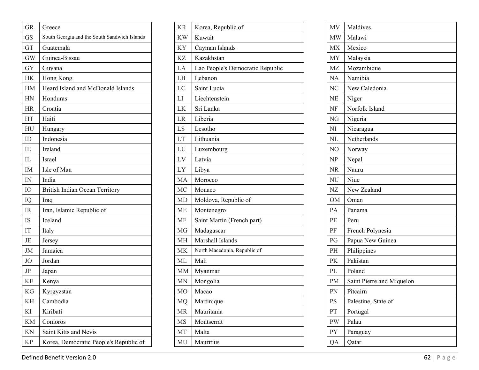| <b>GR</b> | Greece                                       |  |
|-----------|----------------------------------------------|--|
| <b>GS</b> | South Georgia and the South Sandwich Islands |  |
| GT        | Guatemala                                    |  |
| <b>GW</b> | Guinea-Bissau                                |  |
| <b>GY</b> | Guyana                                       |  |
| НK        | Hong Kong                                    |  |
| HM        | Heard Island and McDonald Islands            |  |
| HN        | Honduras                                     |  |
| <b>HR</b> | Croatia                                      |  |
| HT        | Haiti                                        |  |
| HU        | Hungary                                      |  |
| ID        | Indonesia                                    |  |
| IE        | Ireland                                      |  |
| IL        | Israel                                       |  |
| IM        | Isle of Man                                  |  |
| IN        | India                                        |  |
| IO        | <b>British Indian Ocean Territory</b>        |  |
| IQ        | Iraq                                         |  |
| IR        | Iran, Islamic Republic of                    |  |
| IS        | Iceland                                      |  |
| IT        | Italy                                        |  |
| JE        | Jersey                                       |  |
| JM        | Jamaica                                      |  |
| JO.       | Jordan                                       |  |
| $\rm{JP}$ | Japan                                        |  |
| ΚE        | Kenya                                        |  |
| KG        | Kyrgyzstan                                   |  |
| ΚH        | Cambodia                                     |  |
| KI        | Kiribati                                     |  |
| KM        | Comoros                                      |  |
| KN        | Saint Kitts and Nevis                        |  |
| KP        | Korea, Democratic People's Republic of       |  |

| <b>KR</b>  | Korea, Republic of               |
|------------|----------------------------------|
| <b>KW</b>  | Kuwait                           |
| ΚY         | Cayman Islands                   |
| ΚZ         | Kazakhstan                       |
| LA         | Lao People's Democratic Republic |
| LB         | Lebanon                          |
| LC         | Saint Lucia                      |
| LI         | Liechtenstein                    |
| LK         | Sri Lanka                        |
| <b>LR</b>  | Liberia                          |
| LS         | Lesotho                          |
| LT         | Lithuania                        |
| LU         | Luxembourg                       |
| ${\rm LV}$ | Latvia                           |
| LY         | Libya                            |
| MA         | Morocco                          |
| MC         | Monaco                           |
| MD         | Moldova, Republic of             |
| ME         | Montenegro                       |
| MF         | Saint Martin (French part)       |
| MG         | Madagascar                       |
| МH         | Marshall Islands                 |
| МK         | North Macedonia, Republic of     |
| МL         | Mali                             |
| МM         | Myanmar                          |
| MN         | Mongolia                         |
| MО         | Macao                            |
| MQ         | Martinique                       |
| MR         | Mauritania                       |
| <b>MS</b>  | Montserrat                       |
| MT         | Malta                            |
| MU         | Mauritius                        |
|            |                                  |

| MV             | Maldives                  |
|----------------|---------------------------|
| MW             | Malawi                    |
| MX             | Mexico                    |
| MY             | Malaysia                  |
| MZ             | Mozambique                |
| <b>NA</b>      | Namibia                   |
| N <sub>C</sub> | New Caledonia             |
| <b>NE</b>      | Niger                     |
| NF             | Norfolk Island            |
| NG             | Nigeria                   |
| NI             | Nicaragua                 |
| NL             | Netherlands               |
| NO             | Norway                    |
| NP             | Nepal                     |
| $\rm NR$       | Nauru                     |
| NU             | Niue                      |
|                |                           |
| NZ             | New Zealand               |
| <b>OM</b>      | Oman                      |
| PA             | Panama                    |
| PE             | Peru                      |
| PF             | French Polynesia          |
| PG             | Papua New Guinea          |
| PH             | Philippines               |
| PK             | Pakistan                  |
| PL             | Poland                    |
| PM             | Saint Pierre and Miquelon |
| PN             | Pitcairn                  |
| PS             | Palestine, State of       |
| PT             | Portugal                  |
| PW             | Palau                     |
| PY             | Paraguay                  |

Defined Benefit Version 2.0 62 | Page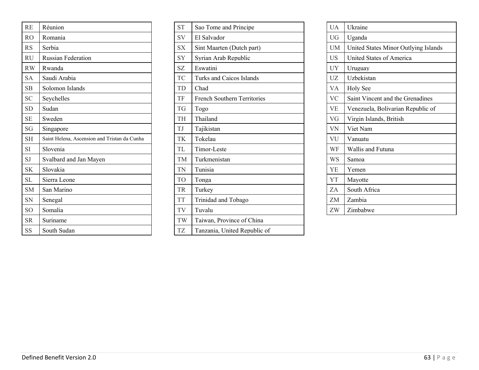| <b>RE</b>      | Réunion                                      |
|----------------|----------------------------------------------|
| R <sub>O</sub> | Romania                                      |
| <b>RS</b>      | Serbia                                       |
| <b>RU</b>      | <b>Russian Federation</b>                    |
| <b>RW</b>      | Rwanda                                       |
| <b>SA</b>      | Saudi Arabia                                 |
| <b>SB</b>      | Solomon Islands                              |
| <b>SC</b>      | Seychelles                                   |
| <b>SD</b>      | Sudan                                        |
| <b>SE</b>      | Sweden                                       |
| SG             | Singapore                                    |
| SH             | Saint Helena, Ascension and Tristan da Cunha |
| <b>SI</b>      | Slovenia                                     |
| <b>SJ</b>      | Svalbard and Jan Mayen                       |
| <b>SK</b>      | Slovakia                                     |
| <b>SL</b>      | Sierra Leone                                 |
| <b>SM</b>      | San Marino                                   |
| SN             | Senegal                                      |
| SO.            | Somalia                                      |
| <b>SR</b>      | Suriname                                     |
| <b>SS</b>      | South Sudan                                  |

| <b>ST</b> | Sao Tome and Principe              |  |
|-----------|------------------------------------|--|
| SV        | El Salvador                        |  |
| <b>SX</b> | Sint Maarten (Dutch part)          |  |
| SY        | Syrian Arab Republic               |  |
| <b>SZ</b> | Eswatini                           |  |
| TC        | <b>Turks and Caicos Islands</b>    |  |
| TD        | Chad                               |  |
| TF        | <b>French Southern Territories</b> |  |
| <b>TG</b> | Togo                               |  |
| TH        | Thailand                           |  |
| TJ        | Tajikistan                         |  |
| TK        | Tokelau                            |  |
| TL        | Timor-Leste                        |  |
| TM        | Turkmenistan                       |  |
| TN        | Tunisia                            |  |
| <b>TO</b> | Tonga                              |  |
| <b>TR</b> | Turkey                             |  |
| <b>TT</b> | Trinidad and Tobago                |  |
| TV        | Tuvalu                             |  |
| TW        | Taiwan, Province of China          |  |
| TZ        | Tanzania, United Republic of       |  |

| UA        | Ukraine                              |
|-----------|--------------------------------------|
| UG        | Uganda                               |
| UM        | United States Minor Outlying Islands |
| US        | United States of America             |
| UY        | Uruguay                              |
| UZ        | Uzbekistan                           |
| VA.       | Holy See                             |
| <b>VC</b> | Saint Vincent and the Grenadines     |
| <b>VE</b> | Venezuela, Bolivarian Republic of    |
| VG        | Virgin Islands, British              |
| VN        | Viet Nam                             |
| VU        | Vanuatu                              |
| WF        | Wallis and Futuna                    |
| WS        | Samoa                                |
| YE        | Yemen                                |
| YT        | Mayotte                              |
| ZA.       | South Africa                         |
| ZM.       | Zambia                               |
| ZW        | Zimbabwe                             |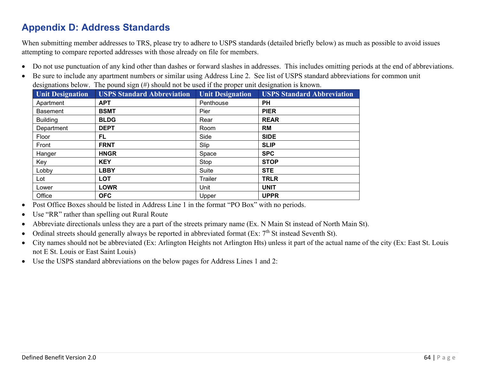## <span id="page-63-0"></span>**Appendix D: Address Standards**

When submitting member addresses to TRS, please try to adhere to USPS standards (detailed briefly below) as much as possible to avoid issues attempting to compare reported addresses with those already on file for members.

- Do not use punctuation of any kind other than dashes or forward slashes in addresses. This includes omitting periods at the end of abbreviations.
- Be sure to include any apartment numbers or similar using Address Line 2. See list of USPS standard abbreviations for common unit designations below. The pound sign (#) should not be used if the proper unit designation is known.

| Unit Designation | <b>USPS Standard Abbreviation</b> | <b>Unit Designation</b> | <b>USPS Standard Abbreviation</b> |
|------------------|-----------------------------------|-------------------------|-----------------------------------|
| Apartment        | <b>APT</b>                        | Penthouse               | <b>PH</b>                         |
| <b>Basement</b>  | <b>BSMT</b>                       | Pier                    | <b>PIER</b>                       |
| <b>Building</b>  | <b>BLDG</b>                       | Rear                    | <b>REAR</b>                       |
| Department       | <b>DEPT</b>                       | Room                    | RM                                |
| Floor            | FL                                | Side                    | <b>SIDE</b>                       |
| Front            | <b>FRNT</b>                       | Slip                    | <b>SLIP</b>                       |
| Hanger           | <b>HNGR</b>                       | Space                   | <b>SPC</b>                        |
| Key              | <b>KEY</b>                        | Stop                    | <b>STOP</b>                       |
| Lobby            | <b>LBBY</b>                       | Suite                   | <b>STE</b>                        |
| Lot              | <b>LOT</b>                        | Trailer                 | <b>TRLR</b>                       |
| Lower            | <b>LOWR</b>                       | Unit                    | <b>UNIT</b>                       |
| Office           | <b>OFC</b>                        | Upper                   | <b>UPPR</b>                       |

- Post Office Boxes should be listed in Address Line 1 in the format "PO Box" with no periods.
- Use "RR" rather than spelling out Rural Route
- Abbreviate directionals unless they are a part of the streets primary name (Ex. N Main St instead of North Main St).
- Ordinal streets should generally always be reported in abbreviated format (Ex:  $7<sup>th</sup>$  St instead Seventh St).
- City names should not be abbreviated (Ex: Arlington Heights not Arlington Hts) unless it part of the actual name of the city (Ex: East St. Louis not E St. Louis or East Saint Louis)
- Use the USPS standard abbreviations on the below pages for Address Lines 1 and 2: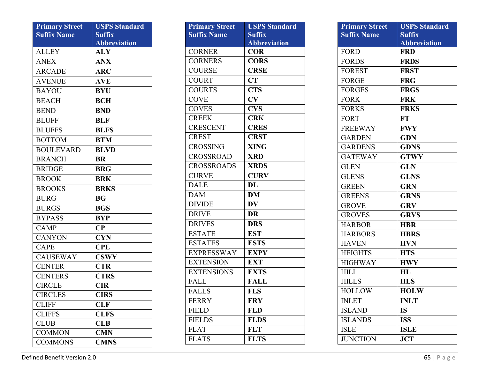| <b>Primary Street</b> | <b>USPS Standard</b> |
|-----------------------|----------------------|
| <b>Suffix Name</b>    | <b>Suffix</b>        |
|                       | <b>Abbreviation</b>  |
| <b>ALLEY</b>          | ALY                  |
| <b>ANEX</b>           | <b>ANX</b>           |
| <b>ARCADE</b>         | <b>ARC</b>           |
| <b>AVENUE</b>         | <b>AVE</b>           |
| <b>BAYOU</b>          | <b>BYU</b>           |
| <b>BEACH</b>          | <b>BCH</b>           |
| <b>BEND</b>           | <b>BND</b>           |
| <b>BLUFF</b>          | <b>BLF</b>           |
| <b>BLUFFS</b>         | <b>BLFS</b>          |
| <b>BOTTOM</b>         | <b>BTM</b>           |
| <b>BOULEVARD</b>      | <b>BLVD</b>          |
| <b>BRANCH</b>         | <b>BR</b>            |
| <b>BRIDGE</b>         | <b>BRG</b>           |
| <b>BROOK</b>          | <b>BRK</b>           |
| <b>BROOKS</b>         | <b>BRKS</b>          |
| <b>BURG</b>           | <b>BG</b>            |
| <b>BURGS</b>          | <b>BGS</b>           |
| <b>BYPASS</b>         | <b>BYP</b>           |
| <b>CAMP</b>           | $\bf CP$             |
| <b>CANYON</b>         | <b>CYN</b>           |
| <b>CAPE</b>           | <b>CPE</b>           |
| <b>CAUSEWAY</b>       | <b>CSWY</b>          |
| <b>CENTER</b>         | <b>CTR</b>           |
| <b>CENTERS</b>        | <b>CTRS</b>          |
| <b>CIRCLE</b>         | <b>CIR</b>           |
| <b>CIRCLES</b>        | CIRS                 |
| <b>CLIFF</b>          | <b>CLF</b>           |
| <b>CLIFFS</b>         | <b>CLFS</b>          |
| <b>CLUB</b>           | <b>CLB</b>           |
| <b>COMMON</b>         | <b>CMN</b>           |
| <b>COMMONS</b>        | <b>CMNS</b>          |

| <b>Primary Street</b><br><b>Suffix Name</b> | <b>USPS Standard</b><br><b>Suffix</b><br><b>Abbreviation</b> |
|---------------------------------------------|--------------------------------------------------------------|
| <b>CORNER</b>                               | <b>COR</b>                                                   |
| <b>CORNERS</b>                              | <b>CORS</b>                                                  |
| <b>COURSE</b>                               | <b>CRSE</b>                                                  |
| <b>COURT</b>                                | <b>CT</b>                                                    |
| <b>COURTS</b>                               | <b>CTS</b>                                                   |
| <b>COVE</b>                                 | CV                                                           |
| <b>COVES</b>                                | <b>CVS</b>                                                   |
| <b>CREEK</b>                                | <b>CRK</b>                                                   |
| <b>CRESCENT</b>                             | <b>CRES</b>                                                  |
| <b>CREST</b>                                | <b>CRST</b>                                                  |
| <b>CROSSING</b>                             | <b>XING</b>                                                  |
| <b>CROSSROAD</b>                            | <b>XRD</b>                                                   |
| <b>CROSSROADS</b>                           | <b>XRDS</b>                                                  |
| <b>CURVE</b>                                | <b>CURV</b>                                                  |
| <b>DALE</b>                                 | <b>DL</b>                                                    |
| <b>DAM</b>                                  | DM                                                           |
| <b>DIVIDE</b>                               | DV                                                           |
| <b>DRIVE</b>                                | <b>DR</b>                                                    |
| <b>DRIVES</b>                               | <b>DRS</b>                                                   |
| <b>ESTATE</b>                               | <b>EST</b>                                                   |
| <b>ESTATES</b>                              | <b>ESTS</b>                                                  |
| <b>EXPRESSWAY</b>                           | <b>EXPY</b>                                                  |
| <b>EXTENSION</b>                            | <b>EXT</b>                                                   |
| <b>EXTENSIONS</b>                           | <b>EXTS</b>                                                  |
| <b>FALL</b>                                 | <b>FALL</b>                                                  |
| <b>FALLS</b>                                | <b>FLS</b>                                                   |
| <b>FERRY</b>                                | <b>FRY</b>                                                   |
| <b>FIELD</b>                                | <b>FLD</b>                                                   |
| <b>FIELDS</b>                               | <b>FLDS</b>                                                  |
| <b>FLAT</b>                                 | <b>FLT</b>                                                   |
| <b>FLATS</b>                                | <b>FLTS</b>                                                  |

| <b>Primary Street</b><br><b>Suffix Name</b> | <b>USPS Standard</b><br><b>Suffix</b><br><b>Abbreviation</b> |
|---------------------------------------------|--------------------------------------------------------------|
| <b>FORD</b>                                 | <b>FRD</b>                                                   |
| <b>FORDS</b>                                | <b>FRDS</b>                                                  |
| <b>FOREST</b>                               | <b>FRST</b>                                                  |
| <b>FORGE</b>                                | <b>FRG</b>                                                   |
| <b>FORGES</b>                               | <b>FRGS</b>                                                  |
| <b>FORK</b>                                 | <b>FRK</b>                                                   |
| <b>FORKS</b>                                | <b>FRKS</b>                                                  |
| <b>FORT</b>                                 | <b>FT</b>                                                    |
| <b>FREEWAY</b>                              | <b>FWY</b>                                                   |
| <b>GARDEN</b>                               | <b>GDN</b>                                                   |
| <b>GARDENS</b>                              | <b>GDNS</b>                                                  |
| <b>GATEWAY</b>                              | <b>GTWY</b>                                                  |
| <b>GLEN</b>                                 | <b>GLN</b>                                                   |
| <b>GLENS</b>                                | <b>GLNS</b>                                                  |
| <b>GREEN</b>                                | <b>GRN</b>                                                   |
| <b>GREENS</b>                               | <b>GRNS</b>                                                  |
| <b>GROVE</b>                                | <b>GRV</b>                                                   |
| <b>GROVES</b>                               | <b>GRVS</b>                                                  |
| <b>HARBOR</b>                               | <b>HBR</b>                                                   |
| <b>HARBORS</b>                              | <b>HBRS</b>                                                  |
| <b>HAVEN</b>                                | <b>HVN</b>                                                   |
| <b>HEIGHTS</b>                              | <b>HTS</b>                                                   |
| <b>HIGHWAY</b>                              | <b>HWY</b>                                                   |
| <b>HILL</b>                                 | <b>HL</b>                                                    |
| <b>HILLS</b>                                | <b>HLS</b>                                                   |
| <b>HOLLOW</b>                               | <b>HOLW</b>                                                  |
| <b>INLET</b>                                | <b>INLT</b>                                                  |
| <b>ISLAND</b>                               | <b>IS</b>                                                    |
| <b>ISLANDS</b>                              | <b>ISS</b>                                                   |
| <b>ISLE</b>                                 | <b>ISLE</b>                                                  |
| <b>JUNCTION</b>                             | <b>JCT</b>                                                   |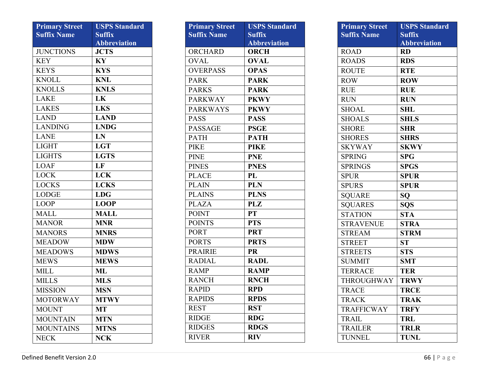| <b>Primary Street</b> | <b>USPS Standard</b> |
|-----------------------|----------------------|
| <b>Suffix Name</b>    | <b>Suffix</b>        |
|                       | <b>Abbreviation</b>  |
| <b>JUNCTIONS</b>      | <b>JCTS</b>          |
| <b>KEY</b>            | KY                   |
| <b>KEYS</b>           | <b>KYS</b>           |
| <b>KNOLL</b>          | <b>KNL</b>           |
| <b>KNOLLS</b>         | <b>KNLS</b>          |
| <b>LAKE</b>           | LK                   |
| <b>LAKES</b>          | <b>LKS</b>           |
| <b>LAND</b>           | <b>LAND</b>          |
| <b>LANDING</b>        | <b>LNDG</b>          |
| <b>LANE</b>           | LN                   |
| <b>LIGHT</b>          | <b>LGT</b>           |
| <b>LIGHTS</b>         | <b>LGTS</b>          |
| <b>LOAF</b>           | LF                   |
| <b>LOCK</b>           | <b>LCK</b>           |
| <b>LOCKS</b>          | <b>LCKS</b>          |
| <b>LODGE</b>          | <b>LDG</b>           |
| <b>LOOP</b>           | <b>LOOP</b>          |
| <b>MALL</b>           | <b>MALL</b>          |
| <b>MANOR</b>          | <b>MNR</b>           |
| <b>MANORS</b>         | <b>MNRS</b>          |
| <b>MEADOW</b>         | <b>MDW</b>           |
| <b>MEADOWS</b>        | <b>MDWS</b>          |
| <b>MEWS</b>           | <b>MEWS</b>          |
| <b>MILL</b>           | ML                   |
| <b>MILLS</b>          | <b>MLS</b>           |
| <b>MISSION</b>        | <b>MSN</b>           |
| <b>MOTORWAY</b>       | <b>MTWY</b>          |
| <b>MOUNT</b>          | MT                   |
| <b>MOUNTAIN</b>       | <b>MTN</b>           |
| <b>MOUNTAINS</b>      | <b>MTNS</b>          |
| <b>NECK</b>           | <b>NCK</b>           |

| <b>Primary Street</b><br><b>Suffix Name</b> | <b>USPS Standard</b><br><b>Suffix</b><br><b>Abbreviation</b> |
|---------------------------------------------|--------------------------------------------------------------|
| ORCHARD                                     | <b>ORCH</b>                                                  |
| <b>OVAL</b>                                 | <b>OVAL</b>                                                  |
| <b>OVERPASS</b>                             | <b>OPAS</b>                                                  |
| <b>PARK</b>                                 | <b>PARK</b>                                                  |
| <b>PARKS</b>                                | <b>PARK</b>                                                  |
| <b>PARKWAY</b>                              | <b>PKWY</b>                                                  |
| <b>PARKWAYS</b>                             | <b>PKWY</b>                                                  |
| <b>PASS</b>                                 | <b>PASS</b>                                                  |
| <b>PASSAGE</b>                              | <b>PSGE</b>                                                  |
| <b>PATH</b>                                 | <b>PATH</b>                                                  |
| <b>PIKE</b>                                 | <b>PIKE</b>                                                  |
| <b>PINE</b>                                 | <b>PNE</b>                                                   |
| <b>PINES</b>                                | <b>PNES</b>                                                  |
| <b>PLACE</b>                                | PL                                                           |
| <b>PLAIN</b>                                | <b>PLN</b>                                                   |
| <b>PLAINS</b>                               | <b>PLNS</b>                                                  |
| <b>PLAZA</b>                                | <b>PLZ</b>                                                   |
| <b>POINT</b>                                | <b>PT</b>                                                    |
| <b>POINTS</b>                               | <b>PTS</b>                                                   |
| <b>PORT</b>                                 | <b>PRT</b>                                                   |
| <b>PORTS</b>                                | <b>PRTS</b>                                                  |
| <b>PRAIRIE</b>                              | <b>PR</b>                                                    |
| <b>RADIAL</b>                               | <b>RADL</b>                                                  |
| <b>RAMP</b>                                 | <b>RAMP</b>                                                  |
| <b>RANCH</b>                                | <b>RNCH</b>                                                  |
| <b>RAPID</b>                                | <b>RPD</b>                                                   |
| <b>RAPIDS</b>                               | <b>RPDS</b>                                                  |
| <b>REST</b>                                 | <b>RST</b>                                                   |
| <b>RIDGE</b>                                | <b>RDG</b>                                                   |
| <b>RIDGES</b>                               | <b>RDGS</b>                                                  |
| <b>RIVER</b>                                | <b>RIV</b>                                                   |

| <b>Primary Street</b><br><b>Suffix Name</b> | <b>USPS Standard</b><br><b>Suffix</b><br><b>Abbreviation</b> |
|---------------------------------------------|--------------------------------------------------------------|
| <b>ROAD</b>                                 | <b>RD</b>                                                    |
| <b>ROADS</b>                                | <b>RDS</b>                                                   |
| <b>ROUTE</b>                                | <b>RTE</b>                                                   |
| <b>ROW</b>                                  | <b>ROW</b>                                                   |
| <b>RUE</b>                                  | <b>RUE</b>                                                   |
| <b>RUN</b>                                  | <b>RUN</b>                                                   |
| <b>SHOAL</b>                                | <b>SHL</b>                                                   |
| <b>SHOALS</b>                               | <b>SHLS</b>                                                  |
| <b>SHORE</b>                                | <b>SHR</b>                                                   |
| <b>SHORES</b>                               | <b>SHRS</b>                                                  |
| <b>SKYWAY</b>                               | <b>SKWY</b>                                                  |
| <b>SPRING</b>                               | <b>SPG</b>                                                   |
| <b>SPRINGS</b>                              | <b>SPGS</b>                                                  |
| <b>SPUR</b>                                 | <b>SPUR</b>                                                  |
| <b>SPURS</b>                                | <b>SPUR</b>                                                  |
| <b>SQUARE</b>                               | SQ                                                           |
| <b>SQUARES</b>                              | SQS                                                          |
| <b>STATION</b>                              | <b>STA</b>                                                   |
| <b>STRAVENUE</b>                            | <b>STRA</b>                                                  |
| <b>STREAM</b>                               | <b>STRM</b>                                                  |
| <b>STREET</b>                               | ST                                                           |
| <b>STREETS</b>                              | <b>STS</b>                                                   |
| <b>SUMMIT</b>                               | <b>SMT</b>                                                   |
| <b>TERRACE</b>                              | <b>TER</b>                                                   |
| THROUGHWAY                                  | <b>TRWY</b>                                                  |
| <b>TRACE</b>                                | <b>TRCE</b>                                                  |
| <b>TRACK</b>                                | <b>TRAK</b>                                                  |
| <b>TRAFFICWAY</b>                           | <b>TRFY</b>                                                  |
| <b>TRAIL</b>                                | <b>TRL</b>                                                   |
| <b>TRAILER</b>                              | <b>TRLR</b>                                                  |
| <b>TUNNEL</b>                               | <b>TUNL</b>                                                  |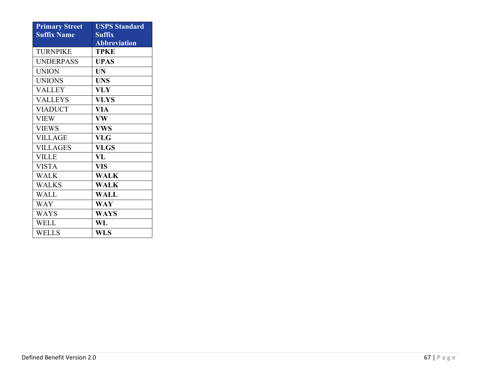| <b>Primary Street</b> | <b>USPS Standard</b> |
|-----------------------|----------------------|
| <b>Suffix Name</b>    | <b>Suffix</b>        |
|                       | <b>Abbreviation</b>  |
| <b>TURNPIKE</b>       | <b>TPKE</b>          |
| <b>UNDERPASS</b>      | <b>UPAS</b>          |
| <b>UNION</b>          | <b>UN</b>            |
| <b>UNIONS</b>         | <b>UNS</b>           |
| <b>VALLEY</b>         | <b>VLY</b>           |
| <b>VALLEYS</b>        | <b>VLYS</b>          |
| <b>VIADUCT</b>        | VIA                  |
| <b>VIEW</b>           | <b>VW</b>            |
| <b>VIEWS</b>          | <b>VWS</b>           |
| <b>VILLAGE</b>        | <b>VLG</b>           |
| <b>VILLAGES</b>       | <b>VLGS</b>          |
| <b>VILLE</b>          | VL                   |
| <b>VISTA</b>          | <b>VIS</b>           |
| <b>WALK</b>           | <b>WALK</b>          |
| <b>WALKS</b>          | <b>WALK</b>          |
| <b>WALL</b>           | <b>WALL</b>          |
| <b>WAY</b>            | <b>WAY</b>           |
| <b>WAYS</b>           | <b>WAYS</b>          |
| <b>WELL</b>           | WL                   |
| <b>WELLS</b>          | <b>WLS</b>           |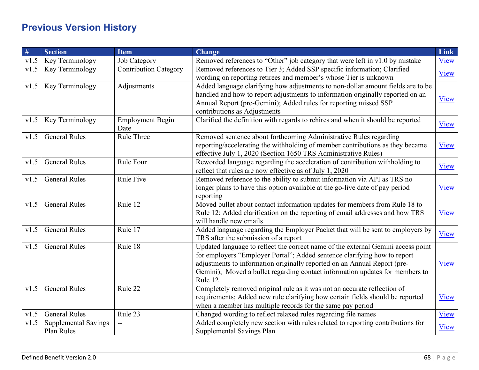## <span id="page-67-0"></span>**Previous Version History**

| #    | <b>Section</b>              | <b>Item</b>                  | <b>Change</b>                                                                    | Link        |
|------|-----------------------------|------------------------------|----------------------------------------------------------------------------------|-------------|
| v1.5 | Key Terminology             | Job Category                 | Removed references to "Other" job category that were left in v1.0 by mistake     | View        |
| v1.5 | Key Terminology             | <b>Contribution Category</b> | Removed references to Tier 3; Added SSP specific information; Clarified          | View        |
|      |                             |                              | wording on reporting retirees and member's whose Tier is unknown                 |             |
| v1.5 | Key Terminology             | Adjustments                  | Added language clarifying how adjustments to non-dollar amount fields are to be  |             |
|      |                             |                              | handled and how to report adjustments to information originally reported on an   | View        |
|      |                             |                              | Annual Report (pre-Gemini); Added rules for reporting missed SSP                 |             |
|      |                             |                              | contributions as Adjustments                                                     |             |
| v1.5 | Key Terminology             | <b>Employment Begin</b>      | Clarified the definition with regards to rehires and when it should be reported  | View        |
|      |                             | Date                         |                                                                                  |             |
| v1.5 | <b>General Rules</b>        | Rule Three                   | Removed sentence about forthcoming Administrative Rules regarding                |             |
|      |                             |                              | reporting/accelerating the withholding of member contributions as they became    | View        |
|      |                             |                              | effective July 1, 2020 (Section 1650 TRS Administrative Rules)                   |             |
| v1.5 | <b>General Rules</b>        | Rule Four                    | Reworded language regarding the acceleration of contribution withholding to      | View        |
|      |                             |                              | reflect that rules are now effective as of July 1, 2020                          |             |
| v1.5 | <b>General Rules</b>        | Rule Five                    | Removed reference to the ability to submit information via API as TRS no         |             |
|      |                             |                              | longer plans to have this option available at the go-live date of pay period     | View        |
|      |                             |                              | reporting                                                                        |             |
| v1.5 | <b>General Rules</b>        | Rule 12                      | Moved bullet about contact information updates for members from Rule 18 to       |             |
|      |                             |                              | Rule 12; Added clarification on the reporting of email addresses and how TRS     | View        |
|      |                             |                              | will handle new emails                                                           |             |
| v1.5 | <b>General Rules</b>        | Rule 17                      | Added language regarding the Employer Packet that will be sent to employers by   | View        |
|      |                             |                              | TRS after the submission of a report                                             |             |
| v1.5 | <b>General Rules</b>        | Rule 18                      | Updated language to reflect the correct name of the external Gemini access point |             |
|      |                             |                              | for employers "Employer Portal"; Added sentence clarifying how to report         |             |
|      |                             |                              | adjustments to information originally reported on an Annual Report (pre-         | View        |
|      |                             |                              | Gemini); Moved a bullet regarding contact information updates for members to     |             |
|      |                             |                              | Rule 12                                                                          |             |
| v1.5 | <b>General Rules</b>        | Rule 22                      | Completely removed original rule as it was not an accurate reflection of         |             |
|      |                             |                              | requirements; Added new rule clarifying how certain fields should be reported    | <b>View</b> |
|      |                             |                              | when a member has multiple records for the same pay period                       |             |
| v1.5 | <b>General Rules</b>        | Rule 23                      | Changed wording to reflect relaxed rules regarding file names                    | View        |
| v1.5 | <b>Supplemental Savings</b> |                              | Added completely new section with rules related to reporting contributions for   | View        |
|      | Plan Rules                  |                              | Supplemental Savings Plan                                                        |             |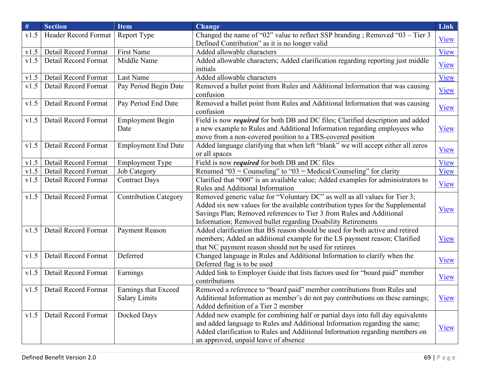| $\#$ | <b>Section</b>              | <b>Item</b>                                  | <b>Change</b>                                                                                                                                                                                                                                                                                        | <b>Link</b> |
|------|-----------------------------|----------------------------------------------|------------------------------------------------------------------------------------------------------------------------------------------------------------------------------------------------------------------------------------------------------------------------------------------------------|-------------|
| v1.5 | Header Record Format        | Report Type                                  | Changed the name of "02" value to reflect SSP branding; Removed "03 - Tier 3<br>Defined Contribution" as it is no longer valid                                                                                                                                                                       | <b>View</b> |
| v1.5 | Detail Record Format        | First Name                                   | Added allowable characters                                                                                                                                                                                                                                                                           | View        |
| v1.5 | Detail Record Format        | Middle Name                                  | Added allowable characters; Added clarification regarding reporting just middle<br>initials                                                                                                                                                                                                          | View        |
| v1.5 | Detail Record Format        | Last Name                                    | Added allowable characters                                                                                                                                                                                                                                                                           | View        |
| v1.5 | Detail Record Format        | Pay Period Begin Date                        | Removed a bullet point from Rules and Additional Information that was causing<br>confusion                                                                                                                                                                                                           | View        |
| v1.5 | Detail Record Format        | Pay Period End Date                          | Removed a bullet point from Rules and Additional Information that was causing<br>confusion                                                                                                                                                                                                           | View        |
| v1.5 | Detail Record Format        | <b>Employment Begin</b><br>Date              | Field is now <i>required</i> for both DB and DC files; Clarified description and added<br>a new example to Rules and Additional Information regarding employees who<br>move from a non-covered position to a TRS-covered position                                                                    | View        |
| v1.5 | Detail Record Format        | <b>Employment End Date</b>                   | Added language clarifying that when left "blank" we will accept either all zeros<br>or all spaces                                                                                                                                                                                                    | View        |
| v1.5 | Detail Record Format        | <b>Employment Type</b>                       | Field is now <i>required</i> for both DB and DC files                                                                                                                                                                                                                                                | View        |
| v1.5 | Detail Record Format        | Job Category                                 | Renamed "03 = Counseling" to "03 = Medical/Counseling" for clarity                                                                                                                                                                                                                                   | View        |
| v1.5 | Detail Record Format        | <b>Contract Days</b>                         | Clarified that "000" is an available value; Added examples for administrators to<br>Rules and Additional Information                                                                                                                                                                                 | View        |
| v1.5 | Detail Record Format        | <b>Contribution Category</b>                 | Removed generic value for "Voluntary DC" as well as all values for Tier 3;<br>Added six new values for the available contribution types for the Supplemental<br>Savings Plan; Removed references to Tier 3 from Rules and Additional<br>Information; Removed bullet regarding Disability Retirements | View        |
| v1.5 | Detail Record Format        | Payment Reason                               | Added clarification that BS reason should be used for both active and retired<br>members; Added an additional example for the LS payment reason; Clarified<br>that NC payment reason should not be used for retirees                                                                                 | View        |
| v1.5 | Detail Record Format        | Deferred                                     | Changed language in Rules and Additional Information to clarify when the<br>Deferred flag is to be used                                                                                                                                                                                              | View        |
| v1.5 | Detail Record Format        | Earnings                                     | Added link to Employer Guide that lists factors used for "board paid" member<br>contributions                                                                                                                                                                                                        | <b>View</b> |
|      | v1.5   Detail Record Format | Earnings that Exceed<br><b>Salary Limits</b> | Removed a reference to "board paid" member contributions from Rules and<br>Additional Information as member's do not pay contributions on these earnings;<br>Added definition of a Tier 2 member                                                                                                     | <b>View</b> |
| v1.5 | Detail Record Format        | Docked Days                                  | Added new example for combining half or partial days into full day equivalents<br>and added language to Rules and Additional Information regarding the same;<br>Added clarification to Rules and Additional Information regarding members on<br>an approved, unpaid leave of absence                 | View        |